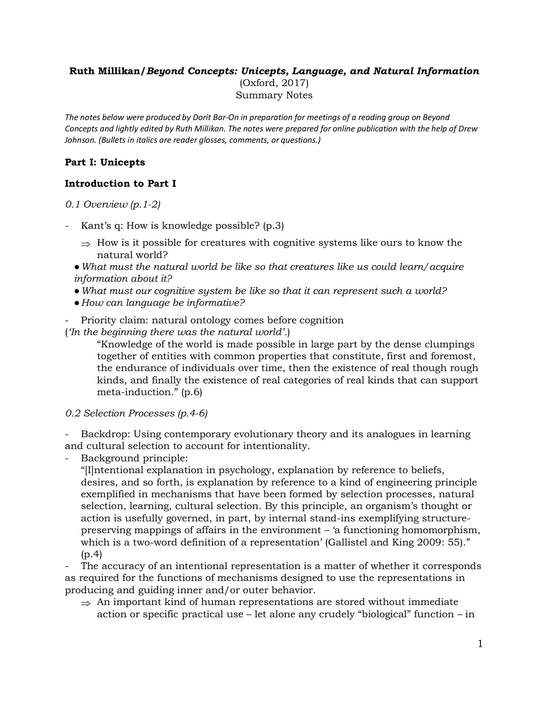### **Ruth Millikan/***Beyond Concepts: Unicepts, Language, and Natural Information* (Oxford, 2017) Summary Notes

*The notes below were produced by Dorit Bar-On in preparation for meetings of a reading group on Beyond Concepts and lightly edited by Ruth Millikan. The notes were prepared for online publication with the help of Drew Johnson. (Bullets in italics are reader glosses, comments, or questions.)*

### **Part I: Unicepts**

### **Introduction to Part I**

*0.1 Overview (p.1-2)*

- Kant's q: How is knowledge possible? (p.3)
	- $\Rightarrow$  How is it possible for creatures with cognitive systems like ours to know the natural world?
	- ●*What must the natural world be like so that creatures like us could learn/acquire information about it?*
	- ●*What must our cognitive system be like so that it can represent such a world?*
	- ●*How can language be informative?*
- Priority claim: natural ontology comes before cognition
- (*'In the beginning there was the natural world'.*)

"Knowledge of the world is made possible in large part by the dense clumpings together of entities with common properties that constitute, first and foremost, the endurance of individuals over time, then the existence of real though rough kinds, and finally the existence of real categories of real kinds that can support meta-induction." (p.6)

*0.2 Selection Processes (p.4-6)*

Backdrop: Using contemporary evolutionary theory and its analogues in learning and cultural selection to account for intentionality.

- Background principle:

"[I]ntentional explanation in psychology, explanation by reference to beliefs, desires, and so forth, is explanation by reference to a kind of engineering principle exemplified in mechanisms that have been formed by selection processes, natural selection, learning, cultural selection. By this principle, an organism's thought or action is usefully governed, in part, by internal stand-ins exemplifying structurepreserving mappings of affairs in the environment – 'a functioning homomorphism, which is a two-word definition of a representation' (Gallistel and King 2009: 55)."  $(p.4)$ 

The accuracy of an intentional representation is a matter of whether it corresponds as required for the functions of mechanisms designed to use the representations in producing and guiding inner and/or outer behavior.

 $\Rightarrow$  An important kind of human representations are stored without immediate action or specific practical use – let alone any crudely "biological" function – in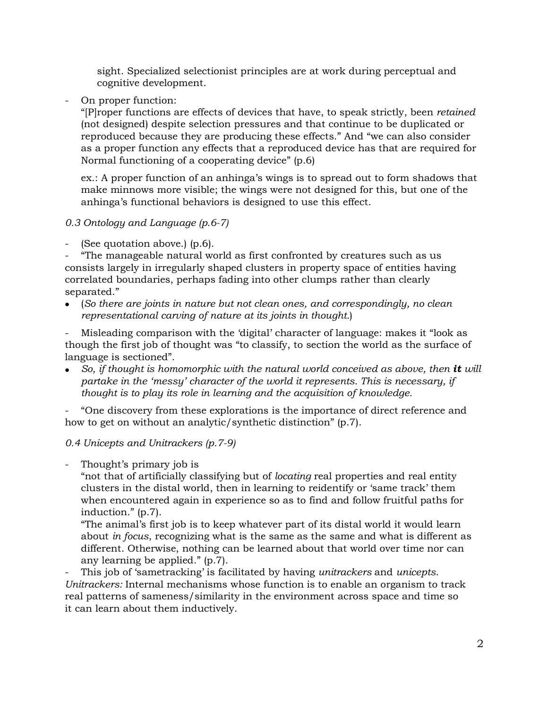sight. Specialized selectionist principles are at work during perceptual and cognitive development.

- On proper function:

"[P]roper functions are effects of devices that have, to speak strictly, been *retained*  (not designed) despite selection pressures and that continue to be duplicated or reproduced because they are producing these effects." And "we can also consider as a proper function any effects that a reproduced device has that are required for Normal functioning of a cooperating device" (p.6)

ex.: A proper function of an anhinga's wings is to spread out to form shadows that make minnows more visible; the wings were not designed for this, but one of the anhinga's functional behaviors is designed to use this effect.

### *0.3 Ontology and Language (p.6-7)*

(See quotation above.) (p.6).

"The manageable natural world as first confronted by creatures such as us consists largely in irregularly shaped clusters in property space of entities having correlated boundaries, perhaps fading into other clumps rather than clearly separated."

• (*So there are joints in nature but not clean ones, and correspondingly, no clean representational carving of nature at its joints in thought.*)

- Misleading comparison with the 'digital' character of language: makes it "look as though the first job of thought was "to classify, to section the world as the surface of language is sectioned".

• *So, if thought is homomorphic with the natural world conceived as above, then it will partake in the 'messy' character of the world it represents. This is necessary, if thought is to play its role in learning and the acquisition of knowledge.* 

- "One discovery from these explorations is the importance of direct reference and how to get on without an analytic/synthetic distinction" (p.7).

# *0.4 Unicepts and Unitrackers (p.7-9)*

Thought's primary job is

"not that of artificially classifying but of *locating* real properties and real entity clusters in the distal world, then in learning to reidentify or 'same track' them when encountered again in experience so as to find and follow fruitful paths for induction." (p.7).

"The animal's first job is to keep whatever part of its distal world it would learn about *in focus*, recognizing what is the same as the same and what is different as different. Otherwise, nothing can be learned about that world over time nor can any learning be applied." (p.7).

- This job of 'sametracking' is facilitated by having *unitrackers* and *unicepts*. *Unitrackers:* Internal mechanisms whose function is to enable an organism to track real patterns of sameness/similarity in the environment across space and time so it can learn about them inductively.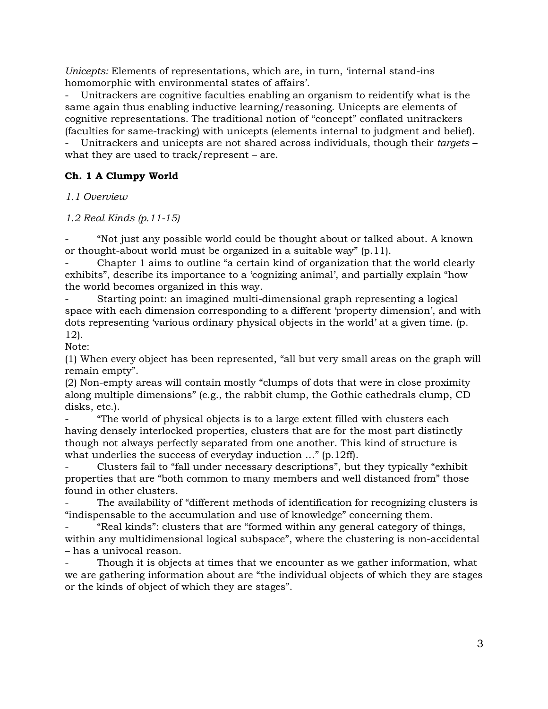*Unicepts:* Elements of representations, which are, in turn, 'internal stand-ins homomorphic with environmental states of affairs'.

Unitrackers are cognitive faculties enabling an organism to reidentify what is the same again thus enabling inductive learning/reasoning. Unicepts are elements of cognitive representations. The traditional notion of "concept" conflated unitrackers (faculties for same-tracking) with unicepts (elements internal to judgment and belief).

- Unitrackers and unicepts are not shared across individuals, though their *targets* – what they are used to track/represent – are.

### **Ch. 1 A Clumpy World**

*1.1 Overview*

*1.2 Real Kinds (p.11-15)*

- "Not just any possible world could be thought about or talked about. A known or thought-about world must be organized in a suitable way" (p.11).

- Chapter 1 aims to outline "a certain kind of organization that the world clearly exhibits", describe its importance to a 'cognizing animal', and partially explain "how the world becomes organized in this way.

- Starting point: an imagined multi-dimensional graph representing a logical space with each dimension corresponding to a different 'property dimension', and with dots representing 'various ordinary physical objects in the world' at a given time. (p. 12).

Note:

(1) When every object has been represented, "all but very small areas on the graph will remain empty".

(2) Non-empty areas will contain mostly "clumps of dots that were in close proximity along multiple dimensions" (e.g., the rabbit clump, the Gothic cathedrals clump, CD disks, etc.).

- "The world of physical objects is to a large extent filled with clusters each having densely interlocked properties, clusters that are for the most part distinctly though not always perfectly separated from one another. This kind of structure is what underlies the success of everyday induction ..." (p.12ff).

- Clusters fail to "fall under necessary descriptions", but they typically "exhibit properties that are "both common to many members and well distanced from" those found in other clusters.

The availability of "different methods of identification for recognizing clusters is "indispensable to the accumulation and use of knowledge" concerning them.

"Real kinds": clusters that are "formed within any general category of things, within any multidimensional logical subspace", where the clustering is non-accidental – has a univocal reason.

Though it is objects at times that we encounter as we gather information, what we are gathering information about are "the individual objects of which they are stages or the kinds of object of which they are stages".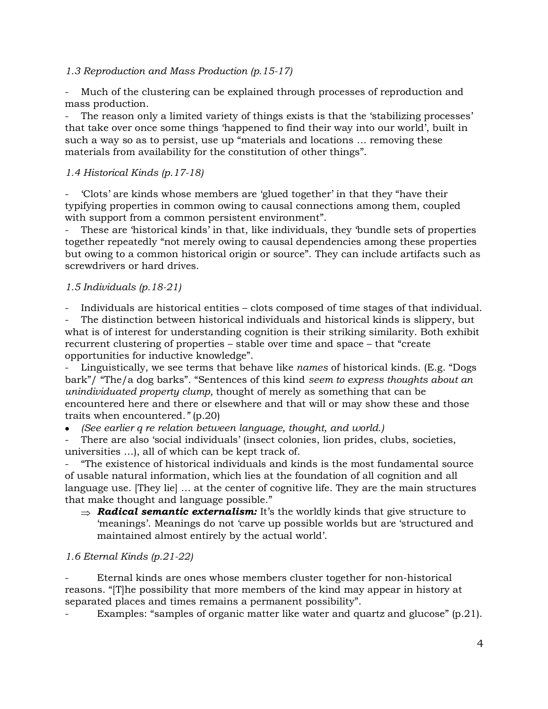### *1.3 Reproduction and Mass Production (p.15-17)*

Much of the clustering can be explained through processes of reproduction and mass production.

The reason only a limited variety of things exists is that the 'stabilizing processes' that take over once some things 'happened to find their way into our world', built in such a way so as to persist, use up "materials and locations … removing these materials from availability for the constitution of other things".

### *1.4 Historical Kinds (p.17-18)*

- 'Clots' are kinds whose members are 'glued together' in that they "have their typifying properties in common owing to causal connections among them, coupled with support from a common persistent environment".

These are 'historical kinds' in that, like individuals, they 'bundle sets of properties together repeatedly "not merely owing to causal dependencies among these properties but owing to a common historical origin or source". They can include artifacts such as screwdrivers or hard drives.

### *1.5 Individuals (p.18-21)*

- Individuals are historical entities – clots composed of time stages of that individual.

The distinction between historical individuals and historical kinds is slippery, but what is of interest for understanding cognition is their striking similarity. Both exhibit recurrent clustering of properties – stable over time and space – that "create opportunities for inductive knowledge".

Linguistically, we see terms that behave like *names* of historical kinds. (E.g. "Dogs bark"/ "The/a dog barks". "Sentences of this kind *seem to express thoughts about an unindividuated property clump,* thought of merely as something that can be encountered here and there or elsewhere and that will or may show these and those traits when encountered*."* (p.20)

• *(See earlier q re relation between language, thought, and world.)*

There are also 'social individuals' (insect colonies, lion prides, clubs, societies, universities …), all of which can be kept track of.

- "The existence of historical individuals and kinds is the most fundamental source of usable natural information, which lies at the foundation of all cognition and all language use. [They lie] … at the center of cognitive life. They are the main structures that make thought and language possible."

 $\Rightarrow$  **Radical semantic externalism:** It's the worldly kinds that give structure to 'meanings'. Meanings do not 'carve up possible worlds but are 'structured and maintained almost entirely by the actual world'.

#### *1.6 Eternal Kinds (p.21-22)*

- Eternal kinds are ones whose members cluster together for non-historical reasons. "[T]he possibility that more members of the kind may appear in history at separated places and times remains a permanent possibility".

Examples: "samples of organic matter like water and quartz and glucose" (p.21).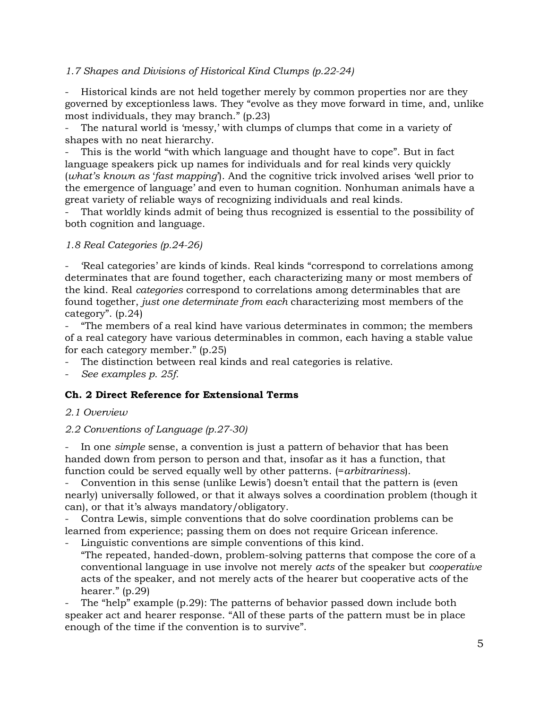### *1.7 Shapes and Divisions of Historical Kind Clumps (p.22-24)*

Historical kinds are not held together merely by common properties nor are they governed by exceptionless laws. They "evolve as they move forward in time, and, unlike most individuals, they may branch." (p.23)

The natural world is 'messy,' with clumps of clumps that come in a variety of shapes with no neat hierarchy.

This is the world "with which language and thought have to cope". But in fact language speakers pick up names for individuals and for real kinds very quickly (*what's known as* '*fast mapping*'). And the cognitive trick involved arises 'well prior to the emergence of language' and even to human cognition. Nonhuman animals have a great variety of reliable ways of recognizing individuals and real kinds.

That worldly kinds admit of being thus recognized is essential to the possibility of both cognition and language.

### *1.8 Real Categories (p.24-26)*

'Real categories' are kinds of kinds. Real kinds "correspond to correlations among determinates that are found together, each characterizing many or most members of the kind. Real *categories* correspond to correlations among determinables that are found together, *just one determinate from each* characterizing most members of the category". (p.24)

- "The members of a real kind have various determinates in common; the members of a real category have various determinables in common, each having a stable value for each category member." (p.25)

The distinction between real kinds and real categories is relative.

- *See examples p. 25f.*

# **Ch. 2 Direct Reference for Extensional Terms**

### *2.1 Overview*

### *2.2 Conventions of Language (p.27-30)*

In one *simple* sense, a convention is just a pattern of behavior that has been handed down from person to person and that, insofar as it has a function, that function could be served equally well by other patterns. (=*arbitrariness*).

Convention in this sense (unlike Lewis') doesn't entail that the pattern is (even nearly) universally followed, or that it always solves a coordination problem (though it can), or that it's always mandatory/obligatory.

- Contra Lewis, simple conventions that do solve coordination problems can be learned from experience; passing them on does not require Gricean inference.

- Linguistic conventions are simple conventions of this kind.
- "The repeated, handed-down, problem-solving patterns that compose the core of a conventional language in use involve not merely *acts* of the speaker but *cooperative* acts of the speaker, and not merely acts of the hearer but cooperative acts of the hearer." (p.29)

The "help" example (p.29): The patterns of behavior passed down include both speaker act and hearer response. "All of these parts of the pattern must be in place enough of the time if the convention is to survive".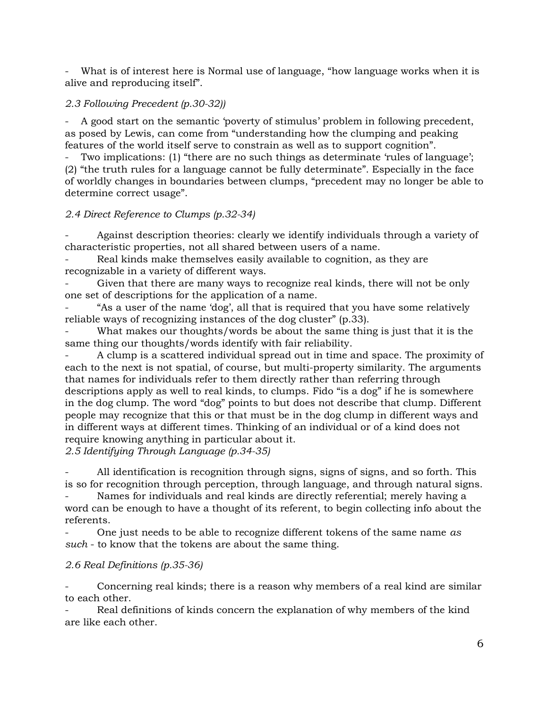What is of interest here is Normal use of language, "how language works when it is alive and reproducing itself".

### *2.3 Following Precedent (p.30-32))*

- A good start on the semantic 'poverty of stimulus' problem in following precedent, as posed by Lewis, can come from "understanding how the clumping and peaking features of the world itself serve to constrain as well as to support cognition".

Two implications: (1) "there are no such things as determinate 'rules of language'; (2) "the truth rules for a language cannot be fully determinate". Especially in the face of worldly changes in boundaries between clumps, "precedent may no longer be able to determine correct usage".

### *2.4 Direct Reference to Clumps (p.32-34)*

Against description theories: clearly we identify individuals through a variety of characteristic properties, not all shared between users of a name.

Real kinds make themselves easily available to cognition, as they are recognizable in a variety of different ways.

Given that there are many ways to recognize real kinds, there will not be only one set of descriptions for the application of a name.

"As a user of the name 'dog', all that is required that you have some relatively reliable ways of recognizing instances of the dog cluster" (p.33).

What makes our thoughts/words be about the same thing is just that it is the same thing our thoughts/words identify with fair reliability.

- A clump is a scattered individual spread out in time and space. The proximity of each to the next is not spatial, of course, but multi-property similarity. The arguments that names for individuals refer to them directly rather than referring through descriptions apply as well to real kinds, to clumps. Fido "is a dog" if he is somewhere in the dog clump. The word "dog" points to but does not describe that clump. Different people may recognize that this or that must be in the dog clump in different ways and in different ways at different times. Thinking of an individual or of a kind does not require knowing anything in particular about it.

*2.5 Identifying Through Language (p.34-35)*

- All identification is recognition through signs, signs of signs, and so forth. This is so for recognition through perception, through language, and through natural signs.

Names for individuals and real kinds are directly referential; merely having a word can be enough to have a thought of its referent, to begin collecting info about the referents.

- One just needs to be able to recognize different tokens of the same name *as such* - to know that the tokens are about the same thing.

# *2.6 Real Definitions (p.35-36)*

Concerning real kinds; there is a reason why members of a real kind are similar to each other.

Real definitions of kinds concern the explanation of why members of the kind are like each other.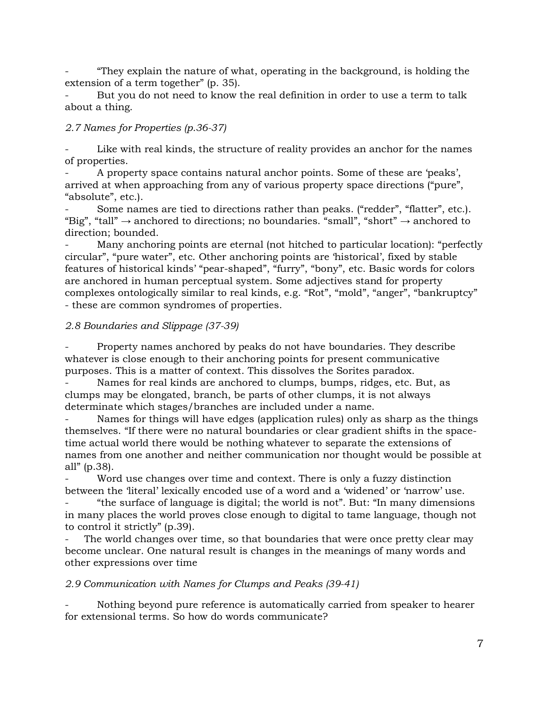- "They explain the nature of what, operating in the background, is holding the extension of a term together" (p. 35).

But you do not need to know the real definition in order to use a term to talk about a thing.

### *2.7 Names for Properties (p.36-37)*

Like with real kinds, the structure of reality provides an anchor for the names of properties.

- A property space contains natural anchor points. Some of these are 'peaks', arrived at when approaching from any of various property space directions ("pure", "absolute", etc.).

Some names are tied to directions rather than peaks. ("redder", "flatter", etc.). "Big", "tall"  $\rightarrow$  anchored to directions; no boundaries. "small", "short"  $\rightarrow$  anchored to direction; bounded.

Many anchoring points are eternal (not hitched to particular location): "perfectly circular", "pure water", etc. Other anchoring points are 'historical', fixed by stable features of historical kinds' "pear-shaped", "furry", "bony", etc. Basic words for colors are anchored in human perceptual system. Some adjectives stand for property complexes ontologically similar to real kinds, e.g. "Rot", "mold", "anger", "bankruptcy" - these are common syndromes of properties.

### *2.8 Boundaries and Slippage (37-39)*

- Property names anchored by peaks do not have boundaries. They describe whatever is close enough to their anchoring points for present communicative purposes. This is a matter of context. This dissolves the Sorites paradox.

Names for real kinds are anchored to clumps, bumps, ridges, etc. But, as clumps may be elongated, branch, be parts of other clumps, it is not always determinate which stages/branches are included under a name.

Names for things will have edges (application rules) only as sharp as the things themselves. "If there were no natural boundaries or clear gradient shifts in the spacetime actual world there would be nothing whatever to separate the extensions of names from one another and neither communication nor thought would be possible at all" (p.38).

Word use changes over time and context. There is only a fuzzy distinction between the 'literal' lexically encoded use of a word and a 'widened' or 'narrow' use.

- "the surface of language is digital; the world is not". But: "In many dimensions in many places the world proves close enough to digital to tame language, though not to control it strictly" (p.39).

The world changes over time, so that boundaries that were once pretty clear may become unclear. One natural result is changes in the meanings of many words and other expressions over time

### *2.9 Communication with Names for Clumps and Peaks (39-41)*

Nothing beyond pure reference is automatically carried from speaker to hearer for extensional terms. So how do words communicate?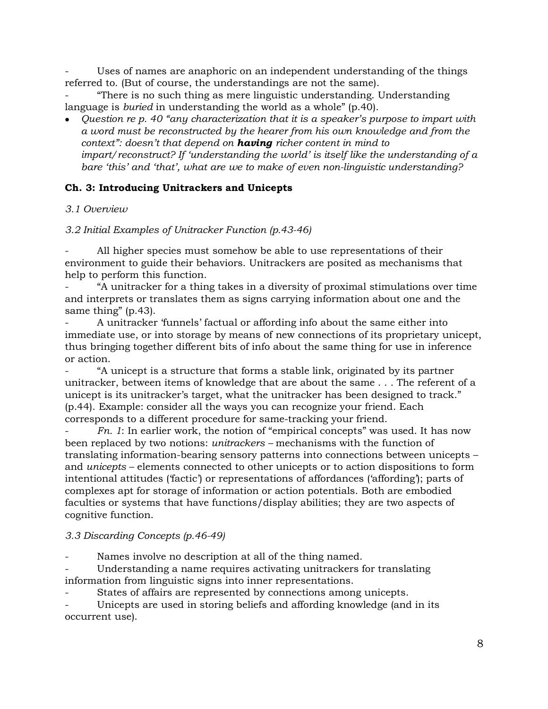Uses of names are anaphoric on an independent understanding of the things referred to. (But of course, the understandings are not the same).

- "There is no such thing as mere linguistic understanding. Understanding language is *buried* in understanding the world as a whole" (p.40).

• *Question re p. 40 "any characterization that it is a speaker's purpose to impart with a word must be reconstructed by the hearer from his own knowledge and from the context": doesn't that depend on having richer content in mind to impart/reconstruct? If 'understanding the world' is itself like the understanding of a bare 'this' and 'that', what are we to make of even non-linguistic understanding?*

### **Ch. 3: Introducing Unitrackers and Unicepts**

### *3.1 Overview*

*3.2 Initial Examples of Unitracker Function (p.43-46)*

All higher species must somehow be able to use representations of their environment to guide their behaviors. Unitrackers are posited as mechanisms that help to perform this function.

- "A unitracker for a thing takes in a diversity of proximal stimulations over time and interprets or translates them as signs carrying information about one and the same thing" (p.43).

- A unitracker 'funnels' factual or affording info about the same either into immediate use, or into storage by means of new connections of its proprietary unicept, thus bringing together different bits of info about the same thing for use in inference or action.

"A unicept is a structure that forms a stable link, originated by its partner unitracker, between items of knowledge that are about the same . . . The referent of a unicept is its unitracker's target, what the unitracker has been designed to track." (p.44). Example: consider all the ways you can recognize your friend. Each corresponds to a different procedure for same-tracking your friend.

- *Fn. 1*: In earlier work, the notion of "empirical concepts" was used. It has now been replaced by two notions: *unitrackers –* mechanisms with the function of translating information-bearing sensory patterns into connections between unicepts – and *unicepts* – elements connected to other unicepts or to action dispositions to form intentional attitudes ('factic') or representations of affordances ('affording'); parts of complexes apt for storage of information or action potentials. Both are embodied faculties or systems that have functions/display abilities; they are two aspects of cognitive function.

### *3.3 Discarding Concepts (p.46-49)*

Names involve no description at all of the thing named.

Understanding a name requires activating unitrackers for translating information from linguistic signs into inner representations.

States of affairs are represented by connections among unicepts.

Unicepts are used in storing beliefs and affording knowledge (and in its occurrent use).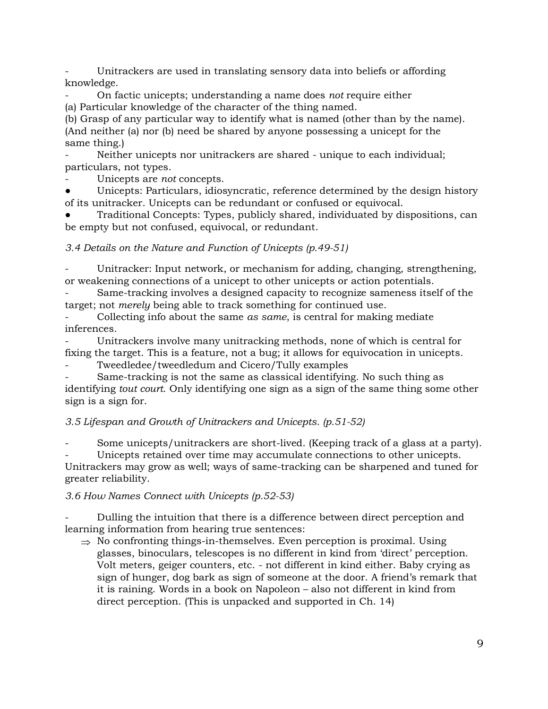Unitrackers are used in translating sensory data into beliefs or affording knowledge.

- On factic unicepts; understanding a name does *not* require either (a) Particular knowledge of the character of the thing named.

(b) Grasp of any particular way to identify what is named (other than by the name). (And neither (a) nor (b) need be shared by anyone possessing a unicept for the same thing.)

Neither unicepts nor unitrackers are shared - unique to each individual; particulars, not types.

- Unicepts are *not* concepts.

Unicepts: Particulars, idiosyncratic, reference determined by the design history of its unitracker. Unicepts can be redundant or confused or equivocal.

Traditional Concepts: Types, publicly shared, individuated by dispositions, can be empty but not confused, equivocal, or redundant.

*3.4 Details on the Nature and Function of Unicepts (p.49-51)*

Unitracker: Input network, or mechanism for adding, changing, strengthening, or weakening connections of a unicept to other unicepts or action potentials.

- Same-tracking involves a designed capacity to recognize sameness itself of the target; not *merely* being able to track something for continued use.

- Collecting info about the same *as same*, is central for making mediate inferences.

Unitrackers involve many unitracking methods, none of which is central for fixing the target. This is a feature, not a bug; it allows for equivocation in unicepts.

Tweedledee/tweedledum and Cicero/Tully examples

Same-tracking is not the same as classical identifying. No such thing as identifying *tout court*. Only identifying one sign as a sign of the same thing some other sign is a sign for.

*3.5 Lifespan and Growth of Unitrackers and Unicepts. (p.51-52)*

Some unicepts/unitrackers are short-lived. (Keeping track of a glass at a party).

Unicepts retained over time may accumulate connections to other unicepts. Unitrackers may grow as well; ways of same-tracking can be sharpened and tuned for greater reliability.

# *3.6 How Names Connect with Unicepts (p.52-53)*

- Dulling the intuition that there is a difference between direct perception and learning information from hearing true sentences:

 $\Rightarrow$  No confronting things-in-themselves. Even perception is proximal. Using glasses, binoculars, telescopes is no different in kind from 'direct' perception. Volt meters, geiger counters, etc. - not different in kind either. Baby crying as sign of hunger, dog bark as sign of someone at the door. A friend's remark that it is raining. Words in a book on Napoleon – also not different in kind from direct perception. (This is unpacked and supported in Ch. 14)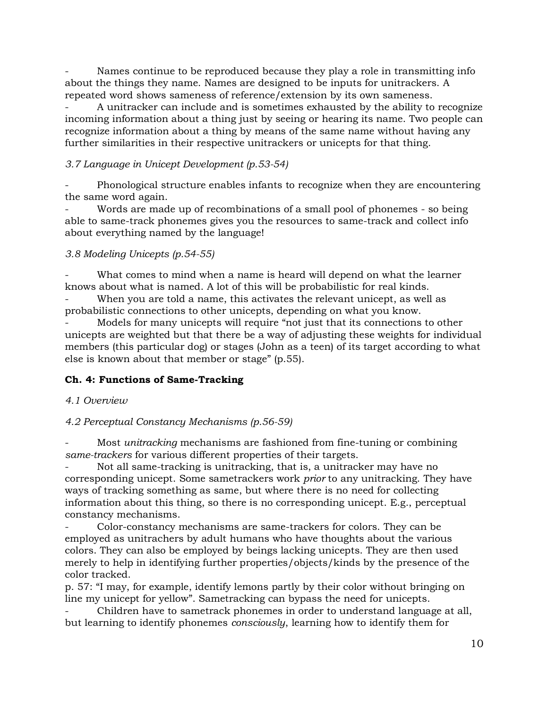Names continue to be reproduced because they play a role in transmitting info about the things they name. Names are designed to be inputs for unitrackers. A repeated word shows sameness of reference/extension by its own sameness.

A unitracker can include and is sometimes exhausted by the ability to recognize incoming information about a thing just by seeing or hearing its name. Two people can recognize information about a thing by means of the same name without having any further similarities in their respective unitrackers or unicepts for that thing.

# *3.7 Language in Unicept Development (p.53-54)*

Phonological structure enables infants to recognize when they are encountering the same word again.

Words are made up of recombinations of a small pool of phonemes - so being able to same-track phonemes gives you the resources to same-track and collect info about everything named by the language!

# *3.8 Modeling Unicepts (p.54-55)*

What comes to mind when a name is heard will depend on what the learner knows about what is named. A lot of this will be probabilistic for real kinds.

When you are told a name, this activates the relevant unicept, as well as probabilistic connections to other unicepts, depending on what you know.

Models for many unicepts will require "not just that its connections to other unicepts are weighted but that there be a way of adjusting these weights for individual members (this particular dog) or stages (John as a teen) of its target according to what else is known about that member or stage" (p.55).

# **Ch. 4: Functions of Same-Tracking**

# *4.1 Overview*

# *4.2 Perceptual Constancy Mechanisms (p.56-59)*

- Most *unitracking* mechanisms are fashioned from fine-tuning or combining *same-trackers* for various different properties of their targets.

Not all same-tracking is unitracking, that is, a unitracker may have no corresponding unicept. Some sametrackers work *prior* to any unitracking. They have ways of tracking something as same, but where there is no need for collecting information about this thing, so there is no corresponding unicept. E.g., perceptual constancy mechanisms.

- Color-constancy mechanisms are same-trackers for colors. They can be employed as unitrachers by adult humans who have thoughts about the various colors. They can also be employed by beings lacking unicepts. They are then used merely to help in identifying further properties/objects/kinds by the presence of the color tracked.

p. 57: "I may, for example, identify lemons partly by their color without bringing on line my unicept for yellow". Sametracking can bypass the need for unicepts.

- Children have to sametrack phonemes in order to understand language at all, but learning to identify phonemes *consciously*, learning how to identify them for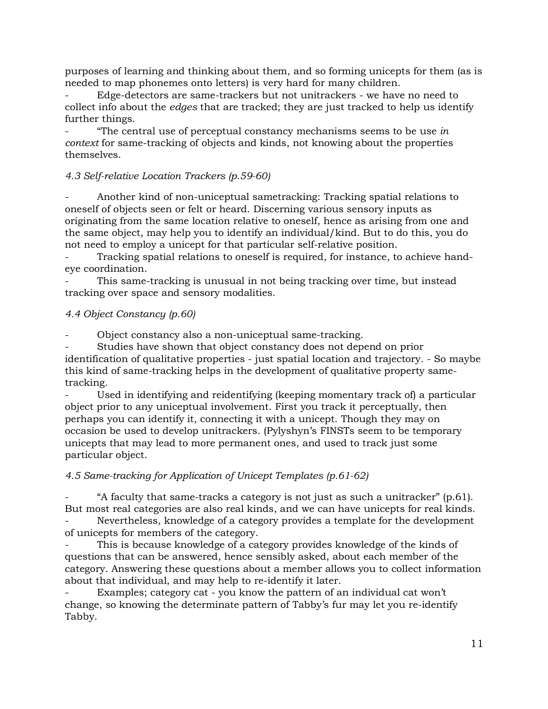purposes of learning and thinking about them, and so forming unicepts for them (as is needed to map phonemes onto letters) is very hard for many children.

- Edge-detectors are same-trackers but not unitrackers - we have no need to collect info about the *edges* that are tracked; they are just tracked to help us identify further things.

- "The central use of perceptual constancy mechanisms seems to be use *in context* for same-tracking of objects and kinds, not knowing about the properties themselves.

### *4.3 Self-relative Location Trackers (p.59-60)*

Another kind of non-uniceptual sametracking: Tracking spatial relations to oneself of objects seen or felt or heard. Discerning various sensory inputs as originating from the same location relative to oneself, hence as arising from one and the same object, may help you to identify an individual/kind. But to do this, you do not need to employ a unicept for that particular self-relative position.

- Tracking spatial relations to oneself is required, for instance, to achieve handeye coordination.

This same-tracking is unusual in not being tracking over time, but instead tracking over space and sensory modalities.

### *4.4 Object Constancy (p.60)*

- Object constancy also a non-uniceptual same-tracking.

Studies have shown that object constancy does not depend on prior identification of qualitative properties - just spatial location and trajectory. - So maybe this kind of same-tracking helps in the development of qualitative property sametracking.

Used in identifying and reidentifying (keeping momentary track of) a particular object prior to any uniceptual involvement. First you track it perceptually, then perhaps you can identify it, connecting it with a unicept. Though they may on occasion be used to develop unitrackers. (Pylyshyn's FINSTs seem to be temporary unicepts that may lead to more permanent ones, and used to track just some particular object.

# *4.5 Same-tracking for Application of Unicept Templates (p.61-62)*

"A faculty that same-tracks a category is not just as such a unitracker" (p.61). But most real categories are also real kinds, and we can have unicepts for real kinds.

Nevertheless, knowledge of a category provides a template for the development of unicepts for members of the category.

This is because knowledge of a category provides knowledge of the kinds of questions that can be answered, hence sensibly asked, about each member of the category. Answering these questions about a member allows you to collect information about that individual, and may help to re-identify it later.

Examples; category cat - you know the pattern of an individual cat won't change, so knowing the determinate pattern of Tabby's fur may let you re-identify Tabby.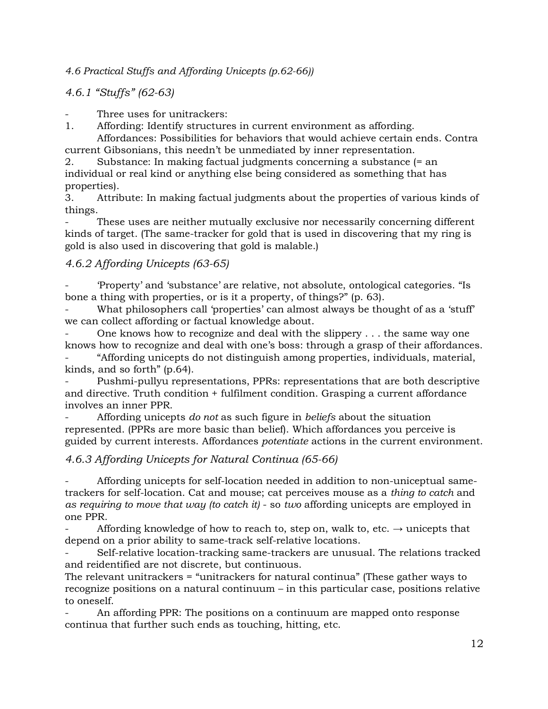*4.6 Practical Stuffs and Affording Unicepts (p.62-66))*

*4.6.1 "Stuffs" (62-63)*

Three uses for unitrackers:

1. Affording: Identify structures in current environment as affording.

Affordances: Possibilities for behaviors that would achieve certain ends. Contra current Gibsonians, this needn't be unmediated by inner representation.

2. Substance: In making factual judgments concerning a substance (= an individual or real kind or anything else being considered as something that has properties).

3. Attribute: In making factual judgments about the properties of various kinds of things.

These uses are neither mutually exclusive nor necessarily concerning different kinds of target. (The same-tracker for gold that is used in discovering that my ring is gold is also used in discovering that gold is malable.)

# *4.6.2 Affording Unicepts (63-65)*

- 'Property' and 'substance' are relative, not absolute, ontological categories. "Is bone a thing with properties, or is it a property, of things?" (p. 63).

What philosophers call 'properties' can almost always be thought of as a 'stuff' we can collect affording or factual knowledge about.

One knows how to recognize and deal with the slippery  $\dots$  the same way one knows how to recognize and deal with one's boss: through a grasp of their affordances.

- "Affording unicepts do not distinguish among properties, individuals, material, kinds, and so forth" (p.64).

Pushmi-pullyu representations, PPRs: representations that are both descriptive and directive. Truth condition + fulfilment condition. Grasping a current affordance involves an inner PPR.

- Affording unicepts *do not* as such figure in *beliefs* about the situation represented. (PPRs are more basic than belief). Which affordances you perceive is guided by current interests. Affordances *potentiate* actions in the current environment.

# *4.6.3 Affording Unicepts for Natural Continua (65-66)*

- Affording unicepts for self-location needed in addition to non-uniceptual sametrackers for self-location. Cat and mouse; cat perceives mouse as a *thing to catch* and *as requiring to move that way (to catch it)* - so *two* affording unicepts are employed in one PPR.

Affording knowledge of how to reach to, step on, walk to, etc.  $\rightarrow$  unicepts that depend on a prior ability to same-track self-relative locations.

- Self-relative location-tracking same-trackers are unusual. The relations tracked and reidentified are not discrete, but continuous.

The relevant unitrackers = "unitrackers for natural continua" (These gather ways to recognize positions on a natural continuum – in this particular case, positions relative to oneself.

- An affording PPR: The positions on a continuum are mapped onto response continua that further such ends as touching, hitting, etc.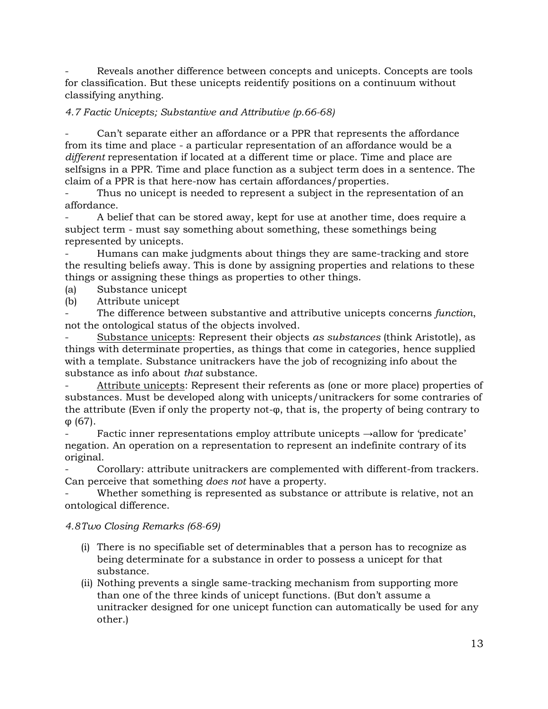Reveals another difference between concepts and unicepts. Concepts are tools for classification. But these unicepts reidentify positions on a continuum without classifying anything.

### *4.7 Factic Unicepts; Substantive and Attributive (p.66-68)*

Can't separate either an affordance or a PPR that represents the affordance from its time and place - a particular representation of an affordance would be a *different* representation if located at a different time or place. Time and place are selfsigns in a PPR. Time and place function as a subject term does in a sentence. The claim of a PPR is that here-now has certain affordances/properties.

Thus no unicept is needed to represent a subject in the representation of an affordance.

- A belief that can be stored away, kept for use at another time, does require a subject term - must say something about something, these somethings being represented by unicepts.

- Humans can make judgments about things they are same-tracking and store the resulting beliefs away. This is done by assigning properties and relations to these things or assigning these things as properties to other things.

(a) Substance unicept

(b) Attribute unicept

The difference between substantive and attributive unicepts concerns *function*, not the ontological status of the objects involved.

- Substance unicepts: Represent their objects *as substances* (think Aristotle), as things with determinate properties, as things that come in categories, hence supplied with a template. Substance unitrackers have the job of recognizing info about the substance as info about *that* substance.

Attribute unicepts: Represent their referents as (one or more place) properties of substances. Must be developed along with unicepts/unitrackers for some contraries of the attribute (Even if only the property not-φ, that is, the property of being contrary to φ (67).

Factic inner representations employ attribute unicepts  $\rightarrow$ allow for 'predicate' negation. An operation on a representation to represent an indefinite contrary of its original.

Corollary: attribute unitrackers are complemented with different-from trackers. Can perceive that something *does not* have a property.

Whether something is represented as substance or attribute is relative, not an ontological difference.

### *4.8Two Closing Remarks (68-69)*

- (i) There is no specifiable set of determinables that a person has to recognize as being determinate for a substance in order to possess a unicept for that substance.
- (ii) Nothing prevents a single same-tracking mechanism from supporting more than one of the three kinds of unicept functions. (But don't assume a unitracker designed for one unicept function can automatically be used for any other.)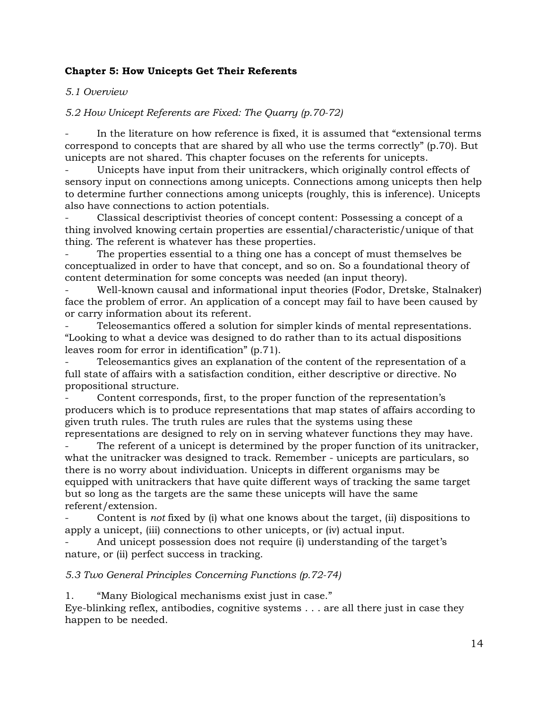### **Chapter 5: How Unicepts Get Their Referents**

### *5.1 Overview*

### *5.2 How Unicept Referents are Fixed: The Quarry (p.70-72)*

In the literature on how reference is fixed, it is assumed that "extensional terms" correspond to concepts that are shared by all who use the terms correctly" (p.70). But unicepts are not shared. This chapter focuses on the referents for unicepts.

Unicepts have input from their unitrackers, which originally control effects of sensory input on connections among unicepts. Connections among unicepts then help to determine further connections among unicepts (roughly, this is inference). Unicepts also have connections to action potentials.

- Classical descriptivist theories of concept content: Possessing a concept of a thing involved knowing certain properties are essential/characteristic/unique of that thing. The referent is whatever has these properties.

The properties essential to a thing one has a concept of must themselves be conceptualized in order to have that concept, and so on. So a foundational theory of content determination for some concepts was needed (an input theory).

- Well-known causal and informational input theories (Fodor, Dretske, Stalnaker) face the problem of error. An application of a concept may fail to have been caused by or carry information about its referent.

Teleosemantics offered a solution for simpler kinds of mental representations. "Looking to what a device was designed to do rather than to its actual dispositions leaves room for error in identification" (p.71).

- Teleosemantics gives an explanation of the content of the representation of a full state of affairs with a satisfaction condition, either descriptive or directive. No propositional structure.

Content corresponds, first, to the proper function of the representation's producers which is to produce representations that map states of affairs according to given truth rules. The truth rules are rules that the systems using these representations are designed to rely on in serving whatever functions they may have.

The referent of a unicept is determined by the proper function of its unitracker, what the unitracker was designed to track. Remember - unicepts are particulars, so there is no worry about individuation. Unicepts in different organisms may be equipped with unitrackers that have quite different ways of tracking the same target but so long as the targets are the same these unicepts will have the same referent/extension.

- Content is *not* fixed by (i) what one knows about the target, (ii) dispositions to apply a unicept, (iii) connections to other unicepts, or (iv) actual input.

And unicept possession does not require (i) understanding of the target's nature, or (ii) perfect success in tracking.

### *5.3 Two General Principles Concerning Functions (p.72-74)*

1. "Many Biological mechanisms exist just in case."

Eye-blinking reflex, antibodies, cognitive systems . . . are all there just in case they happen to be needed.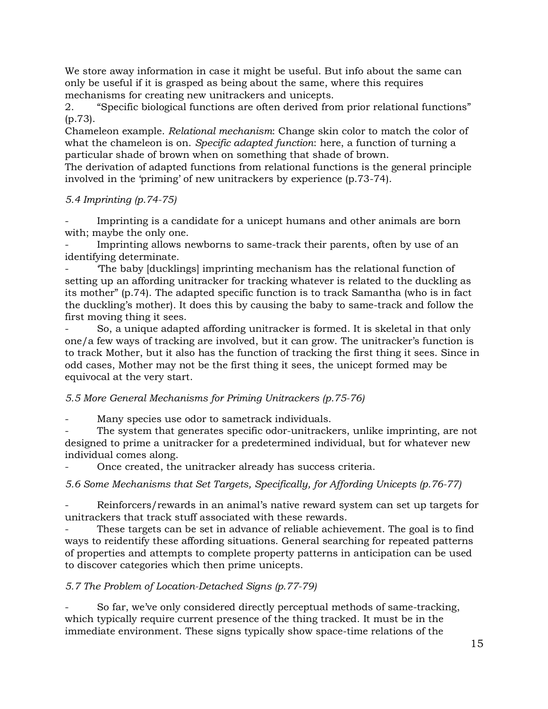We store away information in case it might be useful. But info about the same can only be useful if it is grasped as being about the same, where this requires mechanisms for creating new unitrackers and unicepts.

2. "Specific biological functions are often derived from prior relational functions" (p.73).

Chameleon example. *Relational mechanism*: Change skin color to match the color of what the chameleon is on. *Specific adapted function*: here, a function of turning a particular shade of brown when on something that shade of brown.

The derivation of adapted functions from relational functions is the general principle involved in the 'priming' of new unitrackers by experience (p.73-74).

### *5.4 Imprinting (p.74-75)*

Imprinting is a candidate for a unicept humans and other animals are born with; maybe the only one.

Imprinting allows newborns to same-track their parents, often by use of an identifying determinate.

The baby [ducklings] imprinting mechanism has the relational function of setting up an affording unitracker for tracking whatever is related to the duckling as its mother" (p.74). The adapted specific function is to track Samantha (who is in fact the duckling's mother). It does this by causing the baby to same-track and follow the first moving thing it sees.

So, a unique adapted affording unitracker is formed. It is skeletal in that only one/a few ways of tracking are involved, but it can grow. The unitracker's function is to track Mother, but it also has the function of tracking the first thing it sees. Since in odd cases, Mother may not be the first thing it sees, the unicept formed may be equivocal at the very start.

### *5.5 More General Mechanisms for Priming Unitrackers (p.75-76)*

Many species use odor to sametrack individuals.

The system that generates specific odor-unitrackers, unlike imprinting, are not designed to prime a unitracker for a predetermined individual, but for whatever new individual comes along.

Once created, the unitracker already has success criteria.

*5.6 Some Mechanisms that Set Targets, Specifically, for Affording Unicepts (p.76-77)*

Reinforcers/rewards in an animal's native reward system can set up targets for unitrackers that track stuff associated with these rewards.

These targets can be set in advance of reliable achievement. The goal is to find ways to reidentify these affording situations. General searching for repeated patterns of properties and attempts to complete property patterns in anticipation can be used to discover categories which then prime unicepts.

# *5.7 The Problem of Location-Detached Signs (p.77-79)*

- So far, we've only considered directly perceptual methods of same-tracking, which typically require current presence of the thing tracked. It must be in the immediate environment. These signs typically show space-time relations of the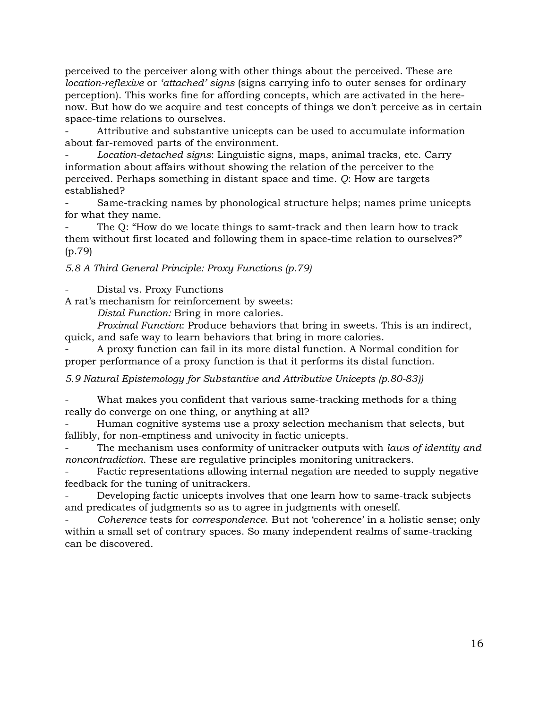perceived to the perceiver along with other things about the perceived. These are *location-reflexive* or *'attached' signs* (signs carrying info to outer senses for ordinary perception). This works fine for affording concepts, which are activated in the herenow. But how do we acquire and test concepts of things we don't perceive as in certain space-time relations to ourselves.

Attributive and substantive unicepts can be used to accumulate information about far-removed parts of the environment.

- *Location-detached signs*: Linguistic signs, maps, animal tracks, etc. Carry information about affairs without showing the relation of the perceiver to the perceived. Perhaps something in distant space and time. *Q*: How are targets established?

- Same-tracking names by phonological structure helps; names prime unicepts for what they name.

The Q: "How do we locate things to samt-track and then learn how to track them without first located and following them in space-time relation to ourselves?" (p.79)

### *5.8 A Third General Principle: Proxy Functions (p.79)*

Distal vs. Proxy Functions

A rat's mechanism for reinforcement by sweets:

*Distal Function:* Bring in more calories.

*Proximal Function*: Produce behaviors that bring in sweets. This is an indirect, quick, and safe way to learn behaviors that bring in more calories.

- A proxy function can fail in its more distal function. A Normal condition for proper performance of a proxy function is that it performs its distal function.

*5.9 Natural Epistemology for Substantive and Attributive Unicepts (p.80-83))*

What makes you confident that various same-tracking methods for a thing really do converge on one thing, or anything at all?

Human cognitive systems use a proxy selection mechanism that selects, but fallibly, for non-emptiness and univocity in factic unicepts.

The mechanism uses conformity of unitracker outputs with *laws of identity and noncontradiction*. These are regulative principles monitoring unitrackers.

Factic representations allowing internal negation are needed to supply negative feedback for the tuning of unitrackers.

Developing factic unicepts involves that one learn how to same-track subjects and predicates of judgments so as to agree in judgments with oneself.

- *Coherence* tests for *correspondence*. But not 'coherence' in a holistic sense; only within a small set of contrary spaces. So many independent realms of same-tracking can be discovered.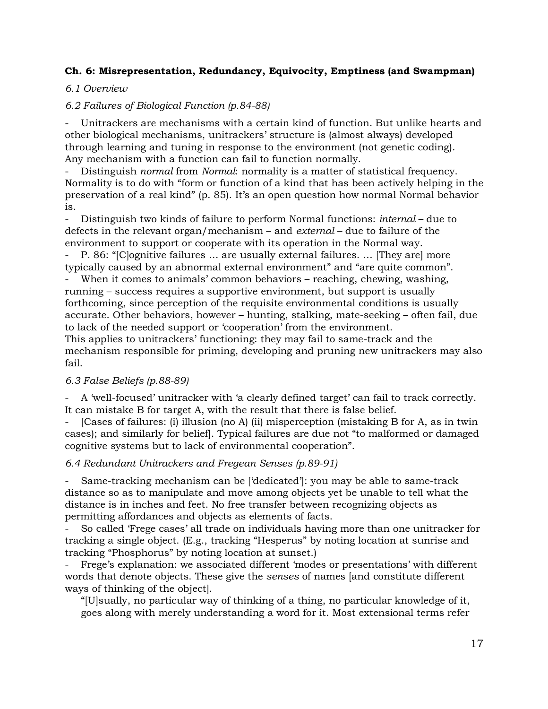### **Ch. 6: Misrepresentation, Redundancy, Equivocity, Emptiness (and Swampman)**

### *6.1 Overview*

### *6.2 Failures of Biological Function (p.84-88)*

Unitrackers are mechanisms with a certain kind of function. But unlike hearts and other biological mechanisms, unitrackers' structure is (almost always) developed through learning and tuning in response to the environment (not genetic coding). Any mechanism with a function can fail to function normally.

- Distinguish *normal* from *Normal*: normality is a matter of statistical frequency. Normality is to do with "form or function of a kind that has been actively helping in the preservation of a real kind" (p. 85). It's an open question how normal Normal behavior is.

- Distinguish two kinds of failure to perform Normal functions: *internal* – due to defects in the relevant organ/mechanism – and *external* – due to failure of the environment to support or cooperate with its operation in the Normal way.

P. 86: "[C]ognitive failures ... are usually external failures. ... [They are] more typically caused by an abnormal external environment" and "are quite common".

When it comes to animals' common behaviors – reaching, chewing, washing, running – success requires a supportive environment, but support is usually forthcoming, since perception of the requisite environmental conditions is usually accurate. Other behaviors, however – hunting, stalking, mate-seeking – often fail, due to lack of the needed support or 'cooperation' from the environment.

This applies to unitrackers' functioning: they may fail to same-track and the mechanism responsible for priming, developing and pruning new unitrackers may also fail.

### *6.3 False Beliefs (p.88-89)*

- A 'well-focused' unitracker with 'a clearly defined target' can fail to track correctly. It can mistake B for target A, with the result that there is false belief.

- [Cases of failures: (i) illusion (no A) (ii) misperception (mistaking B for A, as in twin cases); and similarly for belief]. Typical failures are due not "to malformed or damaged cognitive systems but to lack of environmental cooperation".

### *6.4 Redundant Unitrackers and Fregean Senses (p.89-91)*

Same-tracking mechanism can be ['dedicated']: you may be able to same-track distance so as to manipulate and move among objects yet be unable to tell what the distance is in inches and feet. No free transfer between recognizing objects as permitting affordances and objects as elements of facts.

- So called 'Frege cases' all trade on individuals having more than one unitracker for tracking a single object. (E.g., tracking "Hesperus" by noting location at sunrise and tracking "Phosphorus" by noting location at sunset.)

Frege's explanation: we associated different 'modes or presentations' with different words that denote objects. These give the *senses* of names [and constitute different ways of thinking of the object].

"[U]sually, no particular way of thinking of a thing, no particular knowledge of it, goes along with merely understanding a word for it. Most extensional terms refer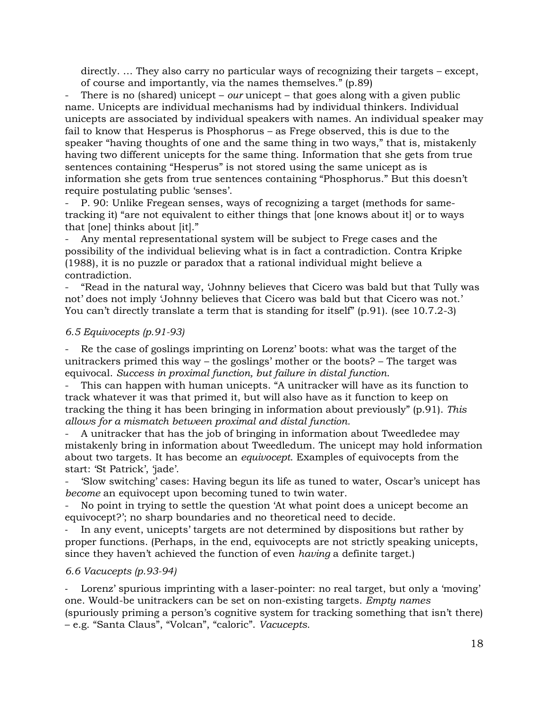directly. … They also carry no particular ways of recognizing their targets – except, of course and importantly, via the names themselves." (p.89)

- There is no (shared) unicept – *our* unicept – that goes along with a given public name. Unicepts are individual mechanisms had by individual thinkers. Individual unicepts are associated by individual speakers with names. An individual speaker may fail to know that Hesperus is Phosphorus – as Frege observed, this is due to the speaker "having thoughts of one and the same thing in two ways," that is, mistakenly having two different unicepts for the same thing. Information that she gets from true sentences containing "Hesperus" is not stored using the same unicept as is information she gets from true sentences containing "Phosphorus." But this doesn't require postulating public 'senses'.

- P. 90: Unlike Fregean senses, ways of recognizing a target (methods for sametracking it) "are not equivalent to either things that [one knows about it] or to ways that [one] thinks about [it]."

Any mental representational system will be subject to Frege cases and the possibility of the individual believing what is in fact a contradiction. Contra Kripke (1988), it is no puzzle or paradox that a rational individual might believe a contradiction.

- "Read in the natural way, 'Johnny believes that Cicero was bald but that Tully was not' does not imply 'Johnny believes that Cicero was bald but that Cicero was not.' You can't directly translate a term that is standing for itself" (p.91). (see 10.7.2-3)

#### *6.5 Equivocepts (p.91-93)*

Re the case of goslings imprinting on Lorenz' boots: what was the target of the unitrackers primed this way – the goslings' mother or the boots? – The target was equivocal. *Success in proximal function, but failure in distal function*.

- This can happen with human unicepts. "A unitracker will have as its function to track whatever it was that primed it, but will also have as it function to keep on tracking the thing it has been bringing in information about previously" (p.91). *This allows for a mismatch between proximal and distal function.* 

- A unitracker that has the job of bringing in information about Tweedledee may mistakenly bring in information about Tweedledum. The unicept may hold information about two targets. It has become an *equivocept*. Examples of equivocepts from the start: 'St Patrick', 'jade'.

- 'Slow switching' cases: Having begun its life as tuned to water, Oscar's unicept has *become* an equivocept upon becoming tuned to twin water.

No point in trying to settle the question 'At what point does a unicept become an equivocept?'; no sharp boundaries and no theoretical need to decide.

In any event, unicepts' targets are not determined by dispositions but rather by proper functions. (Perhaps, in the end, equivocepts are not strictly speaking unicepts, since they haven't achieved the function of even *having* a definite target.)

#### *6.6 Vacucepts (p.93-94)*

Lorenz' spurious imprinting with a laser-pointer: no real target, but only a 'moving' one. Would-be unitrackers can be set on non-existing targets. *Empty names* (spuriously priming a person's cognitive system for tracking something that isn't there) – e.g. "Santa Claus", "Volcan", "caloric". *Vacucepts.*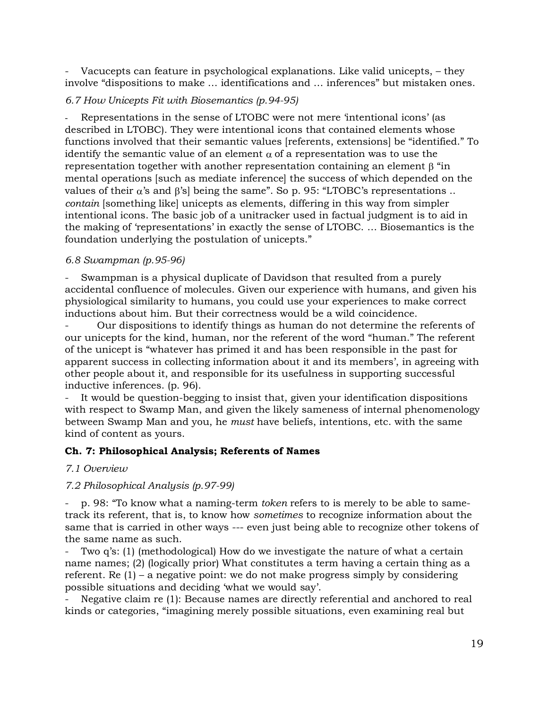Vacucepts can feature in psychological explanations. Like valid unicepts,  $-$  they involve "dispositions to make … identifications and … inferences" but mistaken ones.

#### *6.7 How Unicepts Fit with Biosemantics (p.94-95)*

Representations in the sense of LTOBC were not mere 'intentional icons' (as described in LTOBC). They were intentional icons that contained elements whose functions involved that their semantic values [referents, extensions] be "identified." To identify the semantic value of an element  $\alpha$  of a representation was to use the representation together with another representation containing an element  $\beta$  "in mental operations [such as mediate inference] the success of which depended on the values of their  $\alpha$ 's and  $\beta$ 's] being the same". So p. 95: "LTOBC's representations .. *contain* [something like] unicepts as elements, differing in this way from simpler intentional icons. The basic job of a unitracker used in factual judgment is to aid in the making of 'representations' in exactly the sense of LTOBC. … Biosemantics is the foundation underlying the postulation of unicepts."

#### *6.8 Swampman (p.95-96)*

Swampman is a physical duplicate of Davidson that resulted from a purely accidental confluence of molecules. Given our experience with humans, and given his physiological similarity to humans, you could use your experiences to make correct inductions about him. But their correctness would be a wild coincidence.

- Our dispositions to identify things as human do not determine the referents of our unicepts for the kind, human, nor the referent of the word "human." The referent of the unicept is "whatever has primed it and has been responsible in the past for apparent success in collecting information about it and its members', in agreeing with other people about it, and responsible for its usefulness in supporting successful inductive inferences. (p. 96).

It would be question-begging to insist that, given your identification dispositions with respect to Swamp Man, and given the likely sameness of internal phenomenology between Swamp Man and you, he *must* have beliefs, intentions, etc. with the same kind of content as yours.

#### **Ch. 7: Philosophical Analysis; Referents of Names**

#### *7.1 Overview*

#### *7.2 Philosophical Analysis (p.97-99)*

- p. 98: "To know what a naming-term *token* refers to is merely to be able to sametrack its referent, that is, to know how *sometimes* to recognize information about the same that is carried in other ways --- even just being able to recognize other tokens of the same name as such.

Two q's: (1) (methodological) How do we investigate the nature of what a certain name names; (2) (logically prior) What constitutes a term having a certain thing as a referent. Re (1) – a negative point: we do not make progress simply by considering possible situations and deciding 'what we would say'.

Negative claim re (1): Because names are directly referential and anchored to real kinds or categories, "imagining merely possible situations, even examining real but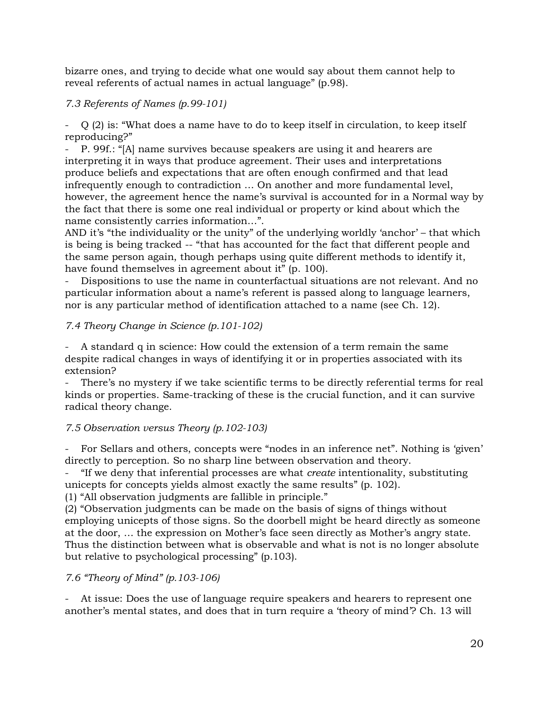bizarre ones, and trying to decide what one would say about them cannot help to reveal referents of actual names in actual language" (p.98).

### *7.3 Referents of Names (p.99-101)*

- Q (2) is: "What does a name have to do to keep itself in circulation, to keep itself reproducing?"

- P. 99f.: "[A] name survives because speakers are using it and hearers are interpreting it in ways that produce agreement. Their uses and interpretations produce beliefs and expectations that are often enough confirmed and that lead infrequently enough to contradiction … On another and more fundamental level, however, the agreement hence the name's survival is accounted for in a Normal way by the fact that there is some one real individual or property or kind about which the name consistently carries information…".

AND it's "the individuality or the unity" of the underlying worldly 'anchor' – that which is being is being tracked -- "that has accounted for the fact that different people and the same person again, though perhaps using quite different methods to identify it, have found themselves in agreement about it" (p. 100).

- Dispositions to use the name in counterfactual situations are not relevant. And no particular information about a name's referent is passed along to language learners, nor is any particular method of identification attached to a name (see Ch. 12).

### *7.4 Theory Change in Science (p.101-102)*

A standard q in science: How could the extension of a term remain the same despite radical changes in ways of identifying it or in properties associated with its extension?

There's no mystery if we take scientific terms to be directly referential terms for real kinds or properties. Same-tracking of these is the crucial function, and it can survive radical theory change.

# *7.5 Observation versus Theory (p.102-103)*

For Sellars and others, concepts were "nodes in an inference net". Nothing is 'given' directly to perception. So no sharp line between observation and theory.

- "If we deny that inferential processes are what *create* intentionality, substituting unicepts for concepts yields almost exactly the same results" (p. 102).

(1) "All observation judgments are fallible in principle."

(2) "Observation judgments can be made on the basis of signs of things without employing unicepts of those signs. So the doorbell might be heard directly as someone at the door, … the expression on Mother's face seen directly as Mother's angry state. Thus the distinction between what is observable and what is not is no longer absolute but relative to psychological processing" (p.103).

# *7.6 "Theory of Mind" (p.103-106)*

At issue: Does the use of language require speakers and hearers to represent one another's mental states, and does that in turn require a 'theory of mind'? Ch. 13 will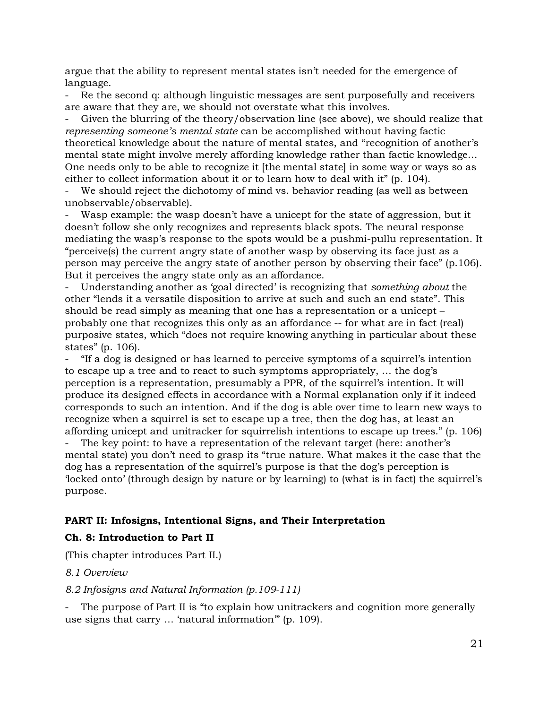argue that the ability to represent mental states isn't needed for the emergence of language.

Re the second q: although linguistic messages are sent purposefully and receivers are aware that they are, we should not overstate what this involves.

Given the blurring of the theory/observation line (see above), we should realize that *representing someone's mental state* can be accomplished without having factic theoretical knowledge about the nature of mental states, and "recognition of another's mental state might involve merely affording knowledge rather than factic knowledge… One needs only to be able to recognize it [the mental state] in some way or ways so as either to collect information about it or to learn how to deal with it" (p. 104).

We should reject the dichotomy of mind vs. behavior reading (as well as between unobservable/observable).

Wasp example: the wasp doesn't have a unicept for the state of aggression, but it doesn't follow she only recognizes and represents black spots. The neural response mediating the wasp's response to the spots would be a pushmi-pullu representation. It "perceive(s) the current angry state of another wasp by observing its face just as a person may perceive the angry state of another person by observing their face" (p.106). But it perceives the angry state only as an affordance.

- Understanding another as 'goal directed' is recognizing that *something about* the other "lends it a versatile disposition to arrive at such and such an end state". This should be read simply as meaning that one has a representation or a unicept – probably one that recognizes this only as an affordance -- for what are in fact (real) purposive states, which "does not require knowing anything in particular about these states" (p. 106).

- "If a dog is designed or has learned to perceive symptoms of a squirrel's intention to escape up a tree and to react to such symptoms appropriately, … the dog's perception is a representation, presumably a PPR, of the squirrel's intention. It will produce its designed effects in accordance with a Normal explanation only if it indeed corresponds to such an intention. And if the dog is able over time to learn new ways to recognize when a squirrel is set to escape up a tree, then the dog has, at least an affording unicept and unitracker for squirrelish intentions to escape up trees." (p. 106)

The key point: to have a representation of the relevant target (here: another's mental state) you don't need to grasp its "true nature. What makes it the case that the dog has a representation of the squirrel's purpose is that the dog's perception is 'locked onto' (through design by nature or by learning) to (what is in fact) the squirrel's purpose.

#### **PART II: Infosigns, Intentional Signs, and Their Interpretation**

#### **Ch. 8: Introduction to Part II**

(This chapter introduces Part II.)

#### *8.1 Overview*

#### *8.2 Infosigns and Natural Information (p.109-111)*

The purpose of Part II is "to explain how unitrackers and cognition more generally use signs that carry … 'natural information'" (p. 109).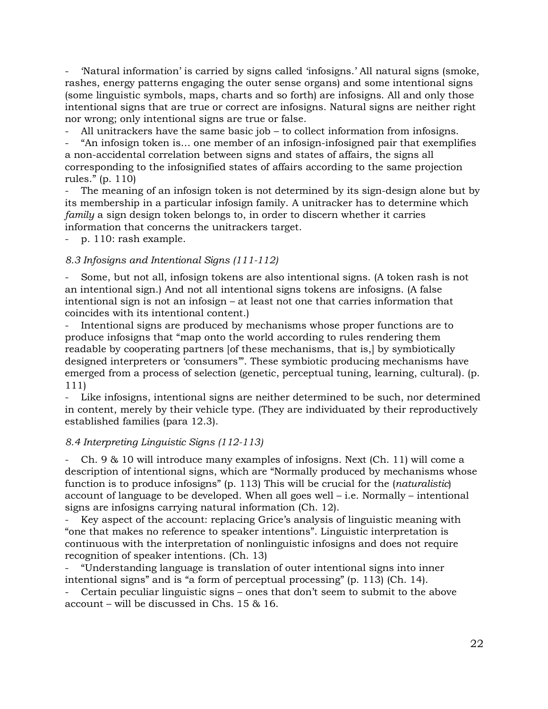- 'Natural information' is carried by signs called 'infosigns.' All natural signs (smoke, rashes, energy patterns engaging the outer sense organs) and some intentional signs (some linguistic symbols, maps, charts and so forth) are infosigns. All and only those intentional signs that are true or correct are infosigns. Natural signs are neither right nor wrong; only intentional signs are true or false.

All unitrackers have the same basic job  $-$  to collect information from infosigns.

"An infosign token is... one member of an infosign-infosigned pair that exemplifies a non-accidental correlation between signs and states of affairs, the signs all corresponding to the infosignified states of affairs according to the same projection rules." (p. 110)

The meaning of an infosign token is not determined by its sign-design alone but by its membership in a particular infosign family. A unitracker has to determine which *family* a sign design token belongs to, in order to discern whether it carries information that concerns the unitrackers target.

p. 110: rash example.

#### *8.3 Infosigns and Intentional Signs (111-112)*

- Some, but not all, infosign tokens are also intentional signs. (A token rash is not an intentional sign.) And not all intentional signs tokens are infosigns. (A false intentional sign is not an infosign – at least not one that carries information that coincides with its intentional content.)

Intentional signs are produced by mechanisms whose proper functions are to produce infosigns that "map onto the world according to rules rendering them readable by cooperating partners [of these mechanisms, that is,] by symbiotically designed interpreters or 'consumers'". These symbiotic producing mechanisms have emerged from a process of selection (genetic, perceptual tuning, learning, cultural). (p. 111)

Like infosigns, intentional signs are neither determined to be such, nor determined in content, merely by their vehicle type. (They are individuated by their reproductively established families (para 12.3).

#### *8.4 Interpreting Linguistic Signs (112-113)*

Ch. 9  $\&$  10 will introduce many examples of infosigns. Next (Ch. 11) will come a description of intentional signs, which are "Normally produced by mechanisms whose function is to produce infosigns" (p. 113) This will be crucial for the (*naturalistic*) account of language to be developed. When all goes well – i.e. Normally – intentional signs are infosigns carrying natural information (Ch. 12).

- Key aspect of the account: replacing Grice's analysis of linguistic meaning with "one that makes no reference to speaker intentions". Linguistic interpretation is continuous with the interpretation of nonlinguistic infosigns and does not require recognition of speaker intentions. (Ch. 13)

- "Understanding language is translation of outer intentional signs into inner intentional signs" and is "a form of perceptual processing" (p. 113) (Ch. 14).

- Certain peculiar linguistic signs – ones that don't seem to submit to the above account – will be discussed in Chs. 15 & 16.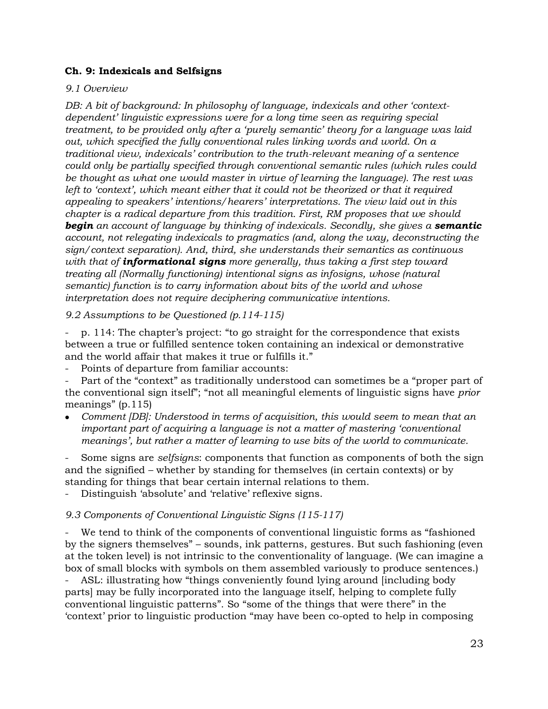### **Ch. 9: Indexicals and Selfsigns**

### *9.1 Overview*

*DB: A bit of background: In philosophy of language, indexicals and other 'contextdependent' linguistic expressions were for a long time seen as requiring special treatment, to be provided only after a 'purely semantic' theory for a language was laid out, which specified the fully conventional rules linking words and world. On a traditional view, indexicals' contribution to the truth-relevant meaning of a sentence could only be partially specified through conventional semantic rules (which rules could be thought as what one would master in virtue of learning the language). The rest was*  left to 'context', which meant either that it could not be theorized or that it required *appealing to speakers' intentions/hearers' interpretations. The view laid out in this chapter is a radical departure from this tradition. First, RM proposes that we should begin* an account of language by thinking of indexicals. Secondly, she gives a *semantic account, not relegating indexicals to pragmatics (and, along the way, deconstructing the sign/context separation). And, third, she understands their semantics as continuous with that of informational signs more generally, thus taking a first step toward treating all (Normally functioning) intentional signs as infosigns, whose (natural semantic) function is to carry information about bits of the world and whose interpretation does not require deciphering communicative intentions.*

*9.2 Assumptions to be Questioned (p.114-115)*

- p. 114: The chapter's project: "to go straight for the correspondence that exists between a true or fulfilled sentence token containing an indexical or demonstrative and the world affair that makes it true or fulfills it."

Points of departure from familiar accounts:

Part of the "context" as traditionally understood can sometimes be a "proper part of the conventional sign itself"; "not all meaningful elements of linguistic signs have *prior* meanings" (p.115)

• *Comment [DB]: Understood in terms of acquisition, this would seem to mean that an important part of acquiring a language is not a matter of mastering 'conventional meanings', but rather a matter of learning to use bits of the world to communicate.* 

- Some signs are *selfsigns*: components that function as components of both the sign and the signified – whether by standing for themselves (in certain contexts) or by standing for things that bear certain internal relations to them.

Distinguish 'absolute' and 'relative' reflexive signs.

### *9.3 Components of Conventional Linguistic Signs (115-117)*

We tend to think of the components of conventional linguistic forms as "fashioned" by the signers themselves" – sounds, ink patterns, gestures. But such fashioning (even at the token level) is not intrinsic to the conventionality of language. (We can imagine a box of small blocks with symbols on them assembled variously to produce sentences.)

ASL: illustrating how "things conveniently found lying around [including body parts] may be fully incorporated into the language itself, helping to complete fully conventional linguistic patterns". So "some of the things that were there" in the 'context' prior to linguistic production "may have been co-opted to help in composing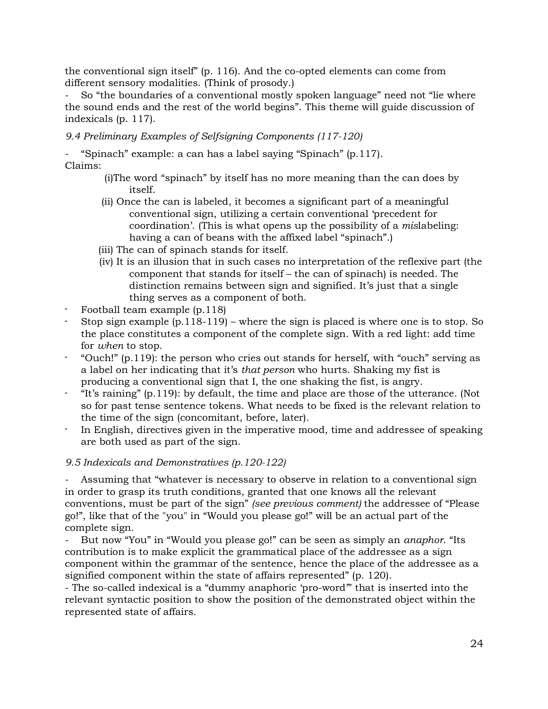the conventional sign itself" (p. 116). And the co-opted elements can come from different sensory modalities. (Think of prosody.)

- So "the boundaries of a conventional mostly spoken language" need not "lie where the sound ends and the rest of the world begins". This theme will guide discussion of indexicals (p. 117).

*9.4 Preliminary Examples of Selfsigning Components (117-120)*

- "Spinach" example: a can has a label saying "Spinach" (p.117). Claims:

- (i)The word "spinach" by itself has no more meaning than the can does by itself.
- (ii) Once the can is labeled, it becomes a significant part of a meaningful conventional sign, utilizing a certain conventional 'precedent for coordination'. (This is what opens up the possibility of a *mis*labeling: having a can of beans with the affixed label "spinach".)
- (iii) The can of spinach stands for itself.
- (iv) It is an illusion that in such cases no interpretation of the reflexive part (the component that stands for itself – the can of spinach) is needed. The distinction remains between sign and signified. It's just that a single thing serves as a component of both.
- Football team example (p.118)
- Stop sign example  $(p.118-119)$  where the sign is placed is where one is to stop. So the place constitutes a component of the complete sign. With a red light: add time for *when* to stop.
- "Ouch!" (p.119): the person who cries out stands for herself, with "ouch" serving as a label on her indicating that it's *that person* who hurts. Shaking my fist is producing a conventional sign that I, the one shaking the fist, is angry.
- "It's raining" (p.119): by default, the time and place are those of the utterance. (Not so for past tense sentence tokens. What needs to be fixed is the relevant relation to the time of the sign (concomitant, before, later).
- In English, directives given in the imperative mood, time and addressee of speaking are both used as part of the sign.

### *9.5 Indexicals and Demonstratives (p.120-122)*

Assuming that "whatever is necessary to observe in relation to a conventional sign in order to grasp its truth conditions, granted that one knows all the relevant conventions, must be part of the sign" *(see previous comment)* the addressee of "Please go!", like that of the "you" in "Would you please go!" will be an actual part of the complete sign.

- But now "You" in "Would you please go!" can be seen as simply an *anaphor*. "Its contribution is to make explicit the grammatical place of the addressee as a sign component within the grammar of the sentence, hence the place of the addressee as a signified component within the state of affairs represented" (p. 120).

- The so-called indexical is a "dummy anaphoric 'pro-word'" that is inserted into the relevant syntactic position to show the position of the demonstrated object within the represented state of affairs.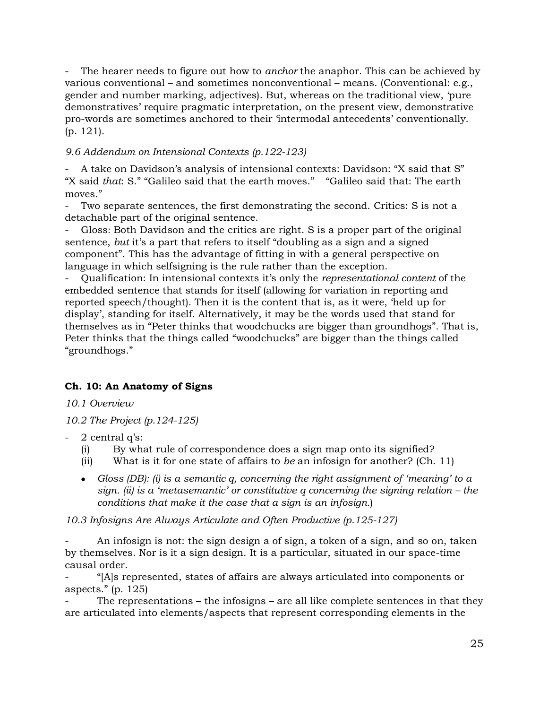The hearer needs to figure out how to *anchor* the anaphor. This can be achieved by various conventional – and sometimes nonconventional – means. (Conventional: e.g., gender and number marking, adjectives). But, whereas on the traditional view, 'pure demonstratives' require pragmatic interpretation, on the present view, demonstrative pro-words are sometimes anchored to their 'intermodal antecedents' conventionally. (p. 121).

### *9.6 Addendum on Intensional Contexts (p.122-123)*

- A take on Davidson's analysis of intensional contexts: Davidson: "X said that S" "X said *that*: S." "Galileo said that the earth moves." "Galileo said that: The earth moves."

Two separate sentences, the first demonstrating the second. Critics: S is not a detachable part of the original sentence.

Gloss: Both Davidson and the critics are right. S is a proper part of the original sentence, *but* it's a part that refers to itself "doubling as a sign and a signed component". This has the advantage of fitting in with a general perspective on language in which selfsigning is the rule rather than the exception.

- Qualification: In intensional contexts it's only the *representational content* of the embedded sentence that stands for itself (allowing for variation in reporting and reported speech/thought). Then it is the content that is, as it were, 'held up for display', standing for itself. Alternatively, it may be the words used that stand for themselves as in "Peter thinks that woodchucks are bigger than groundhogs". That is, Peter thinks that the things called "woodchucks" are bigger than the things called "groundhogs."

# **Ch. 10: An Anatomy of Signs**

*10.1 Overview*

*10.2 The Project (p.124-125)*

- $2$  central q's:
	- (i) By what rule of correspondence does a sign map onto its signified?
	- (ii) What is it for one state of affairs to *be* an infosign for another? (Ch. 11)
	- *Gloss (DB): (i) is a semantic q, concerning the right assignment of 'meaning' to a sign. (ii) is a 'metasemantic' or constitutive q concerning the signing relation – the conditions that make it the case that a sign is an infosign.*)

*10.3 Infosigns Are Always Articulate and Often Productive (p.125-127)*

An infosign is not: the sign design a of sign, a token of a sign, and so on, taken by themselves. Nor is it a sign design. It is a particular, situated in our space-time causal order.

- "[A]s represented, states of affairs are always articulated into components or aspects." (p. 125)

The representations – the infosigns – are all like complete sentences in that they are articulated into elements/aspects that represent corresponding elements in the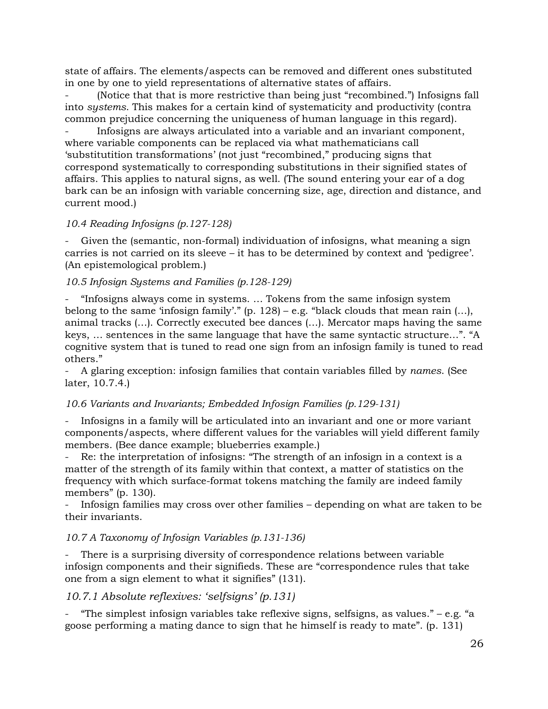state of affairs. The elements/aspects can be removed and different ones substituted in one by one to yield representations of alternative states of affairs.

(Notice that that is more restrictive than being just "recombined.") Infosigns fall into *systems*. This makes for a certain kind of systematicity and productivity (contra common prejudice concerning the uniqueness of human language in this regard).

- Infosigns are always articulated into a variable and an invariant component, where variable components can be replaced via what mathematicians call 'substitutition transformations' (not just "recombined," producing signs that correspond systematically to corresponding substitutions in their signified states of affairs. This applies to natural signs, as well. (The sound entering your ear of a dog bark can be an infosign with variable concerning size, age, direction and distance, and current mood.)

#### *10.4 Reading Infosigns (p.127-128)*

Given the (semantic, non-formal) individuation of infosigns, what meaning a sign carries is not carried on its sleeve – it has to be determined by context and 'pedigree'. (An epistemological problem.)

#### *10.5 Infosign Systems and Families (p.128-129)*

- "Infosigns always come in systems. … Tokens from the same infosign system belong to the same 'infosign family'." (p. 128) – e.g. "black clouds that mean rain  $(...)$ , animal tracks (…). Correctly executed bee dances (…). Mercator maps having the same keys, … sentences in the same language that have the same syntactic structure…". "A cognitive system that is tuned to read one sign from an infosign family is tuned to read others."

- A glaring exception: infosign families that contain variables filled by *names*. (See later, 10.7.4.)

#### *10.6 Variants and Invariants; Embedded Infosign Families (p.129-131)*

- Infosigns in a family will be articulated into an invariant and one or more variant components/aspects, where different values for the variables will yield different family members. (Bee dance example; blueberries example.)

Re: the interpretation of infosigns: "The strength of an infosign in a context is a matter of the strength of its family within that context, a matter of statistics on the frequency with which surface-format tokens matching the family are indeed family members" (p. 130).

- Infosign families may cross over other families – depending on what are taken to be their invariants.

#### *10.7 A Taxonomy of Infosign Variables (p.131-136)*

There is a surprising diversity of correspondence relations between variable infosign components and their signifieds. These are "correspondence rules that take one from a sign element to what it signifies" (131).

### *10.7.1 Absolute reflexives: 'selfsigns' (p.131)*

"The simplest infosign variables take reflexive signs, selfsigns, as values." – e.g. "a goose performing a mating dance to sign that he himself is ready to mate". (p. 131)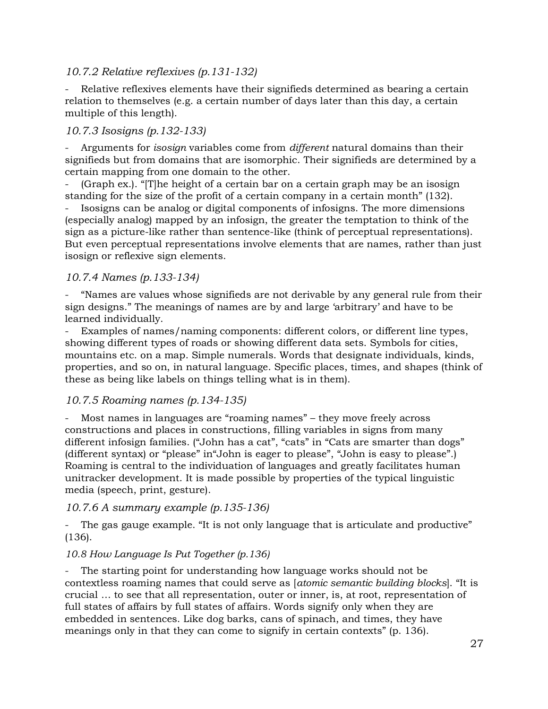### *10.7.2 Relative reflexives (p.131-132)*

Relative reflexives elements have their signifieds determined as bearing a certain relation to themselves (e.g. a certain number of days later than this day, a certain multiple of this length).

### *10.7.3 Isosigns (p.132-133)*

- Arguments for *isosign* variables come from *different* natural domains than their signifieds but from domains that are isomorphic. Their signifieds are determined by a certain mapping from one domain to the other.

 $(Graph ex.)$ . "[T]he height of a certain bar on a certain graph may be an isosign standing for the size of the profit of a certain company in a certain month" (132).

- Isosigns can be analog or digital components of infosigns. The more dimensions (especially analog) mapped by an infosign, the greater the temptation to think of the sign as a picture-like rather than sentence-like (think of perceptual representations). But even perceptual representations involve elements that are names, rather than just isosign or reflexive sign elements.

### *10.7.4 Names (p.133-134)*

"Names are values whose signifieds are not derivable by any general rule from their sign designs." The meanings of names are by and large 'arbitrary' and have to be learned individually.

Examples of names/naming components: different colors, or different line types, showing different types of roads or showing different data sets. Symbols for cities, mountains etc. on a map. Simple numerals. Words that designate individuals, kinds, properties, and so on, in natural language. Specific places, times, and shapes (think of these as being like labels on things telling what is in them).

#### *10.7.5 Roaming names (p.134-135)*

Most names in languages are "roaming names" – they move freely across constructions and places in constructions, filling variables in signs from many different infosign families. ("John has a cat", "cats" in "Cats are smarter than dogs" (different syntax) or "please" in"John is eager to please", "John is easy to please".) Roaming is central to the individuation of languages and greatly facilitates human unitracker development. It is made possible by properties of the typical linguistic media (speech, print, gesture).

#### *10.7.6 A summary example (p.135-136)*

The gas gauge example. "It is not only language that is articulate and productive" (136).

#### *10.8 How Language Is Put Together (p.136)*

The starting point for understanding how language works should not be contextless roaming names that could serve as [*atomic semantic building blocks*]. "It is crucial … to see that all representation, outer or inner, is, at root, representation of full states of affairs by full states of affairs. Words signify only when they are embedded in sentences. Like dog barks, cans of spinach, and times, they have meanings only in that they can come to signify in certain contexts" (p. 136).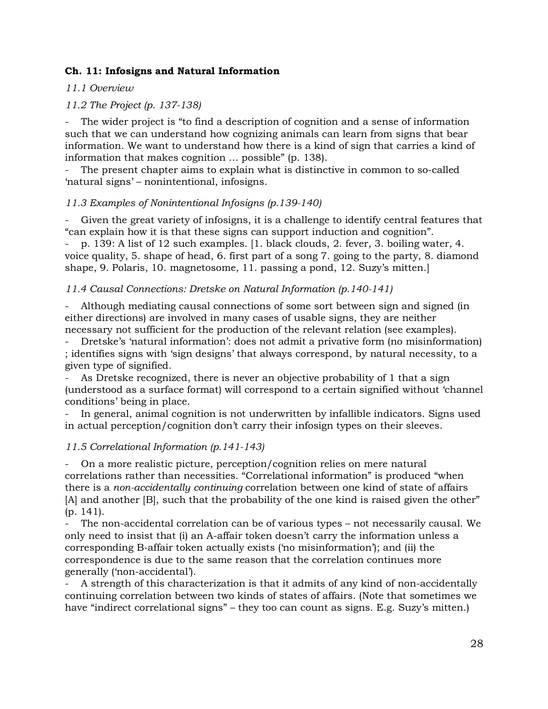### **Ch. 11: Infosigns and Natural Information**

### *11.1 Overview*

### *11.2 The Project (p. 137-138)*

The wider project is "to find a description of cognition and a sense of information such that we can understand how cognizing animals can learn from signs that bear information. We want to understand how there is a kind of sign that carries a kind of information that makes cognition … possible" (p. 138).

The present chapter aims to explain what is distinctive in common to so-called 'natural signs' – nonintentional, infosigns.

### *11.3 Examples of Nonintentional Infosigns (p.139-140)*

Given the great variety of infosigns, it is a challenge to identify central features that "can explain how it is that these signs can support induction and cognition".

- p. 139: A list of 12 such examples. [1. black clouds, 2. fever, 3. boiling water, 4. voice quality, 5. shape of head, 6. first part of a song 7. going to the party, 8. diamond shape, 9. Polaris, 10. magnetosome, 11. passing a pond, 12. Suzy's mitten.]

### *11.4 Causal Connections: Dretske on Natural Information (p.140-141)*

- Although mediating causal connections of some sort between sign and signed (in either directions) are involved in many cases of usable signs, they are neither necessary not sufficient for the production of the relevant relation (see examples).

- Dretske's 'natural information': does not admit a privative form (no misinformation) ; identifies signs with 'sign designs' that always correspond, by natural necessity, to a given type of signified.

As Dretske recognized, there is never an objective probability of 1 that a sign (understood as a surface format) will correspond to a certain signified without 'channel conditions' being in place.

In general, animal cognition is not underwritten by infallible indicators. Signs used in actual perception/cognition don't carry their infosign types on their sleeves.

### *11.5 Correlational Information (p.141-143)*

- On a more realistic picture, perception/cognition relies on mere natural correlations rather than necessities. "Correlational information" is produced "when there is a *non-accidentally continuing* correlation between one kind of state of affairs [A] and another [B], such that the probability of the one kind is raised given the other" (p. 141).

The non-accidental correlation can be of various types - not necessarily causal. We only need to insist that (i) an A-affair token doesn't carry the information unless a corresponding B-affair token actually exists ('no misinformation'); and (ii) the correspondence is due to the same reason that the correlation continues more generally ('non-accidental').

A strength of this characterization is that it admits of any kind of non-accidentally continuing correlation between two kinds of states of affairs. (Note that sometimes we have "indirect correlational signs" – they too can count as signs. E.g. Suzy's mitten.)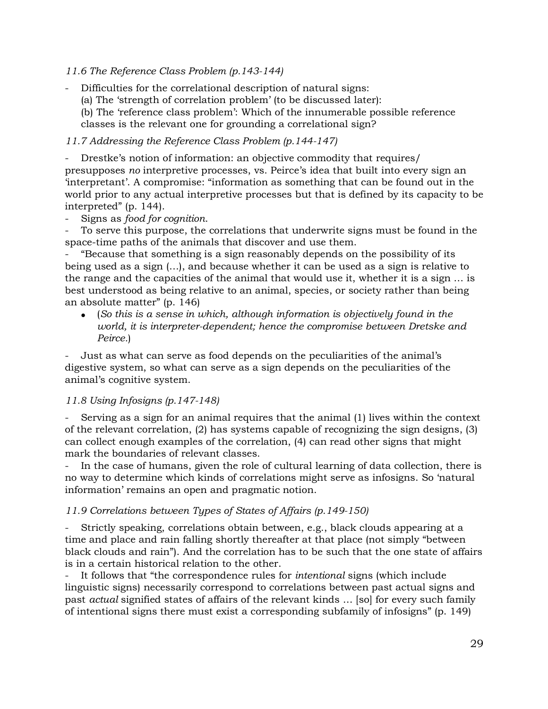### *11.6 The Reference Class Problem (p.143-144)*

- Difficulties for the correlational description of natural signs:

(a) The 'strength of correlation problem' (to be discussed later):

(b) The 'reference class problem': Which of the innumerable possible reference classes is the relevant one for grounding a correlational sign?

*11.7 Addressing the Reference Class Problem (p.144-147)*

- Drestke's notion of information: an objective commodity that requires/ presupposes *no* interpretive processes, vs. Peirce's idea that built into every sign an 'interpretant'. A compromise: "information as something that can be found out in the world prior to any actual interpretive processes but that is defined by its capacity to be interpreted" (p. 144).

- Signs as *food for cognition*.

To serve this purpose, the correlations that underwrite signs must be found in the space-time paths of the animals that discover and use them.

- "Because that something is a sign reasonably depends on the possibility of its being used as a sign (…), and because whether it can be used as a sign is relative to the range and the capacities of the animal that would use it, whether it is a sign … is best understood as being relative to an animal, species, or society rather than being an absolute matter" (p. 146)

• (*So this is a sense in which, although information is objectively found in the world, it is interpreter-dependent; hence the compromise between Dretske and Peirce.*)

- Just as what can serve as food depends on the peculiarities of the animal's digestive system, so what can serve as a sign depends on the peculiarities of the animal's cognitive system.

### *11.8 Using Infosigns (p.147-148)*

Serving as a sign for an animal requires that the animal (1) lives within the context of the relevant correlation, (2) has systems capable of recognizing the sign designs, (3) can collect enough examples of the correlation, (4) can read other signs that might mark the boundaries of relevant classes.

In the case of humans, given the role of cultural learning of data collection, there is no way to determine which kinds of correlations might serve as infosigns. So 'natural information' remains an open and pragmatic notion.

#### *11.9 Correlations between Types of States of Affairs (p.149-150)*

- Strictly speaking, correlations obtain between, e.g., black clouds appearing at a time and place and rain falling shortly thereafter at that place (not simply "between black clouds and rain"). And the correlation has to be such that the one state of affairs is in a certain historical relation to the other.

It follows that "the correspondence rules for *intentional* signs (which include linguistic signs) necessarily correspond to correlations between past actual signs and past *actual* signified states of affairs of the relevant kinds … [so] for every such family of intentional signs there must exist a corresponding subfamily of infosigns" (p. 149)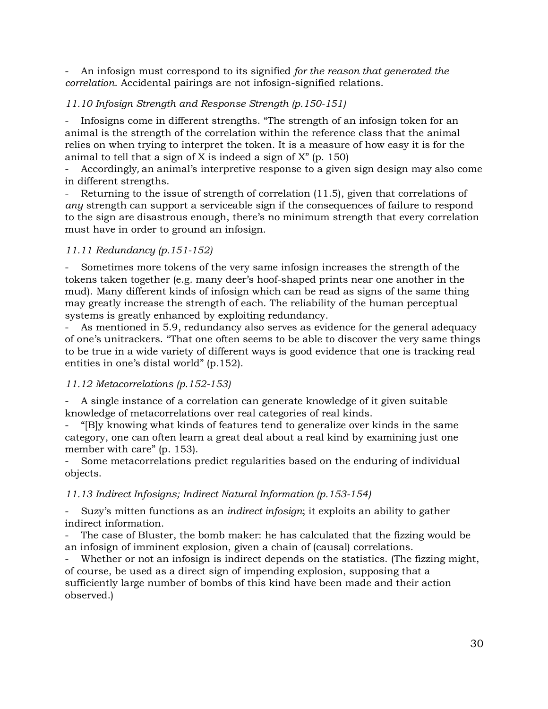- An infosign must correspond to its signified *for the reason that generated the correlation*. Accidental pairings are not infosign-signified relations.

### *11.10 Infosign Strength and Response Strength (p.150-151)*

Infosigns come in different strengths. "The strength of an infosign token for an animal is the strength of the correlation within the reference class that the animal relies on when trying to interpret the token. It is a measure of how easy it is for the animal to tell that a sign of X is indeed a sign of  $X''$  (p. 150)

- Accordingly, an animal's interpretive response to a given sign design may also come in different strengths.

Returning to the issue of strength of correlation  $(11.5)$ , given that correlations of *any* strength can support a serviceable sign if the consequences of failure to respond to the sign are disastrous enough, there's no minimum strength that every correlation must have in order to ground an infosign.

### *11.11 Redundancy (p.151-152)*

- Sometimes more tokens of the very same infosign increases the strength of the tokens taken together (e.g. many deer's hoof-shaped prints near one another in the mud). Many different kinds of infosign which can be read as signs of the same thing may greatly increase the strength of each. The reliability of the human perceptual systems is greatly enhanced by exploiting redundancy.

As mentioned in 5.9, redundancy also serves as evidence for the general adequacy of one's unitrackers. "That one often seems to be able to discover the very same things to be true in a wide variety of different ways is good evidence that one is tracking real entities in one's distal world" (p.152).

### *11.12 Metacorrelations (p.152-153)*

A single instance of a correlation can generate knowledge of it given suitable knowledge of metacorrelations over real categories of real kinds.

- "[B]y knowing what kinds of features tend to generalize over kinds in the same category, one can often learn a great deal about a real kind by examining just one member with care" (p. 153).

- Some metacorrelations predict regularities based on the enduring of individual objects.

### *11.13 Indirect Infosigns; Indirect Natural Information (p.153-154)*

- Suzy's mitten functions as an *indirect infosign*; it exploits an ability to gather indirect information.

The case of Bluster, the bomb maker: he has calculated that the fizzing would be an infosign of imminent explosion, given a chain of (causal) correlations.

- Whether or not an infosign is indirect depends on the statistics. (The fizzing might, of course, be used as a direct sign of impending explosion, supposing that a sufficiently large number of bombs of this kind have been made and their action observed.)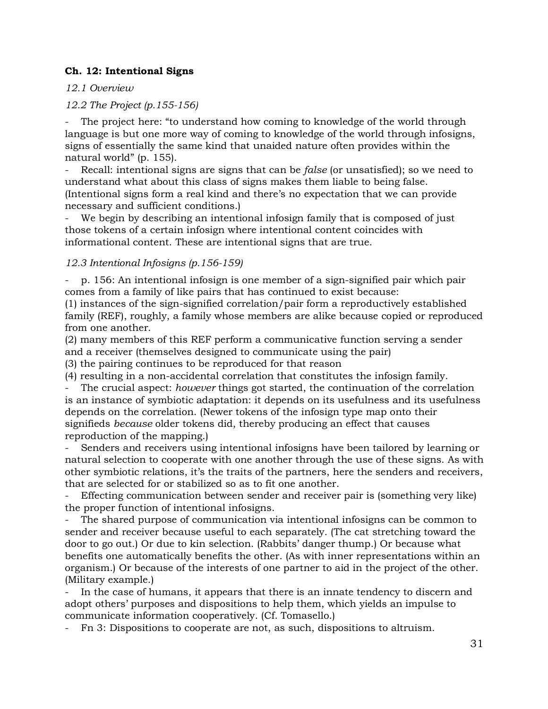### **Ch. 12: Intentional Signs**

*12.1 Overview*

*12.2 The Project (p.155-156)*

The project here: "to understand how coming to knowledge of the world through language is but one more way of coming to knowledge of the world through infosigns, signs of essentially the same kind that unaided nature often provides within the natural world" (p. 155).

Recall: intentional signs are signs that can be *false* (or unsatisfied); so we need to understand what about this class of signs makes them liable to being false. (Intentional signs form a real kind and there's no expectation that we can provide necessary and sufficient conditions.)

We begin by describing an intentional infosign family that is composed of just those tokens of a certain infosign where intentional content coincides with informational content. These are intentional signs that are true.

### *12.3 Intentional Infosigns (p.156-159)*

- p. 156: An intentional infosign is one member of a sign-signified pair which pair comes from a family of like pairs that has continued to exist because:

(1) instances of the sign-signified correlation/pair form a reproductively established family (REF), roughly, a family whose members are alike because copied or reproduced from one another.

(2) many members of this REF perform a communicative function serving a sender and a receiver (themselves designed to communicate using the pair)

(3) the pairing continues to be reproduced for that reason

(4) resulting in a non-accidental correlation that constitutes the infosign family.

The crucial aspect: *however* things got started, the continuation of the correlation is an instance of symbiotic adaptation: it depends on its usefulness and its usefulness depends on the correlation. (Newer tokens of the infosign type map onto their signifieds *because* older tokens did, thereby producing an effect that causes reproduction of the mapping.)

Senders and receivers using intentional infosigns have been tailored by learning or natural selection to cooperate with one another through the use of these signs. As with other symbiotic relations, it's the traits of the partners, here the senders and receivers, that are selected for or stabilized so as to fit one another.

Effecting communication between sender and receiver pair is (something very like) the proper function of intentional infosigns.

The shared purpose of communication via intentional infosigns can be common to sender and receiver because useful to each separately. (The cat stretching toward the door to go out.) Or due to kin selection. (Rabbits' danger thump.) Or because what benefits one automatically benefits the other. (As with inner representations within an organism.) Or because of the interests of one partner to aid in the project of the other. (Military example.)

In the case of humans, it appears that there is an innate tendency to discern and adopt others' purposes and dispositions to help them, which yields an impulse to communicate information cooperatively. (Cf. Tomasello.)

- Fn 3: Dispositions to cooperate are not, as such, dispositions to altruism.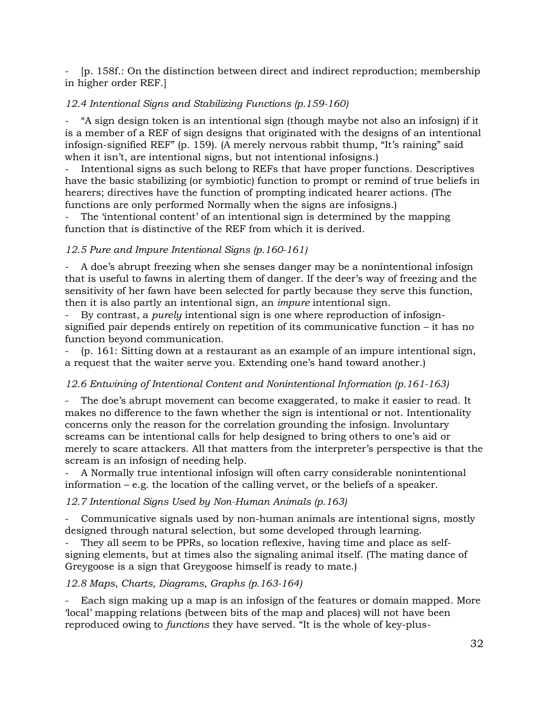- [p. 158f.: On the distinction between direct and indirect reproduction; membership in higher order REF.]

### *12.4 Intentional Signs and Stabilizing Functions (p.159-160)*

- "A sign design token is an intentional sign (though maybe not also an infosign) if it is a member of a REF of sign designs that originated with the designs of an intentional infosign-signified REF" (p. 159). (A merely nervous rabbit thump, "It's raining" said when it isn't, are intentional signs, but not intentional infosigns.)

Intentional signs as such belong to REFs that have proper functions. Descriptives have the basic stabilizing (or symbiotic) function to prompt or remind of true beliefs in hearers; directives have the function of prompting indicated hearer actions. (The functions are only performed Normally when the signs are infosigns.)

The 'intentional content' of an intentional sign is determined by the mapping function that is distinctive of the REF from which it is derived.

### *12.5 Pure and Impure Intentional Signs (p.160-161)*

- A doe's abrupt freezing when she senses danger may be a nonintentional infosign that is useful to fawns in alerting them of danger. If the deer's way of freezing and the sensitivity of her fawn have been selected for partly because they serve this function, then it is also partly an intentional sign, an *impure* intentional sign.

- By contrast, a *purely* intentional sign is one where reproduction of infosignsignified pair depends entirely on repetition of its communicative function – it has no function beyond communication.

 $(p. 161: Stiting down at a restaurant as an example of an impure intentional sign,$ a request that the waiter serve you. Extending one's hand toward another.)

### *12.6 Entwining of Intentional Content and Nonintentional Information (p.161-163)*

The doe's abrupt movement can become exaggerated, to make it easier to read. It makes no difference to the fawn whether the sign is intentional or not. Intentionality concerns only the reason for the correlation grounding the infosign. Involuntary screams can be intentional calls for help designed to bring others to one's aid or merely to scare attackers. All that matters from the interpreter's perspective is that the scream is an infosign of needing help.

A Normally true intentional infosign will often carry considerable nonintentional information – e.g. the location of the calling vervet, or the beliefs of a speaker.

### *12.7 Intentional Signs Used by Non-Human Animals (p.163)*

- Communicative signals used by non-human animals are intentional signs, mostly designed through natural selection, but some developed through learning.

They all seem to be PPRs, so location reflexive, having time and place as selfsigning elements, but at times also the signaling animal itself. (The mating dance of Greygoose is a sign that Greygoose himself is ready to mate.)

*12.8 Maps, Charts, Diagrams, Graphs (p.163-164)*

Each sign making up a map is an infosign of the features or domain mapped. More 'local' mapping relations (between bits of the map and places) will not have been reproduced owing to *functions* they have served. "It is the whole of key-plus-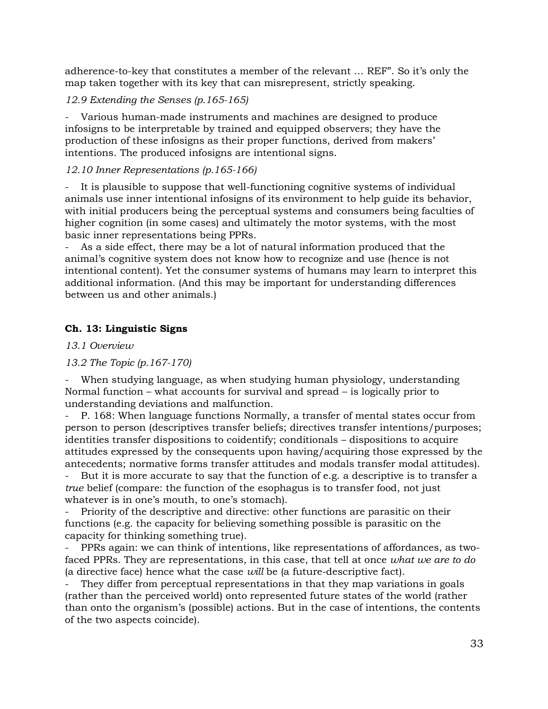adherence-to-key that constitutes a member of the relevant … REF". So it's only the map taken together with its key that can misrepresent, strictly speaking.

### *12.9 Extending the Senses (p.165-165)*

Various human-made instruments and machines are designed to produce infosigns to be interpretable by trained and equipped observers; they have the production of these infosigns as their proper functions, derived from makers' intentions. The produced infosigns are intentional signs.

### *12.10 Inner Representations (p.165-166)*

It is plausible to suppose that well-functioning cognitive systems of individual animals use inner intentional infosigns of its environment to help guide its behavior, with initial producers being the perceptual systems and consumers being faculties of higher cognition (in some cases) and ultimately the motor systems, with the most basic inner representations being PPRs.

As a side effect, there may be a lot of natural information produced that the animal's cognitive system does not know how to recognize and use (hence is not intentional content). Yet the consumer systems of humans may learn to interpret this additional information. (And this may be important for understanding differences between us and other animals.)

### **Ch. 13: Linguistic Signs**

*13.1 Overview*

*13.2 The Topic (p.167-170)*

When studying language, as when studying human physiology, understanding Normal function – what accounts for survival and spread – is logically prior to understanding deviations and malfunction.

- P. 168: When language functions Normally, a transfer of mental states occur from person to person (descriptives transfer beliefs; directives transfer intentions/purposes; identities transfer dispositions to coidentify; conditionals – dispositions to acquire attitudes expressed by the consequents upon having/acquiring those expressed by the antecedents; normative forms transfer attitudes and modals transfer modal attitudes).

But it is more accurate to say that the function of e.g. a descriptive is to transfer a *true* belief (compare: the function of the esophagus is to transfer food, not just whatever is in one's mouth, to one's stomach).

Priority of the descriptive and directive: other functions are parasitic on their functions (e.g. the capacity for believing something possible is parasitic on the capacity for thinking something true).

- PPRs again: we can think of intentions, like representations of affordances, as twofaced PPRs. They are representations, in this case, that tell at once *what we are to do* (a directive face) hence what the case *will* be (a future-descriptive fact).

They differ from perceptual representations in that they map variations in goals (rather than the perceived world) onto represented future states of the world (rather than onto the organism's (possible) actions. But in the case of intentions, the contents of the two aspects coincide).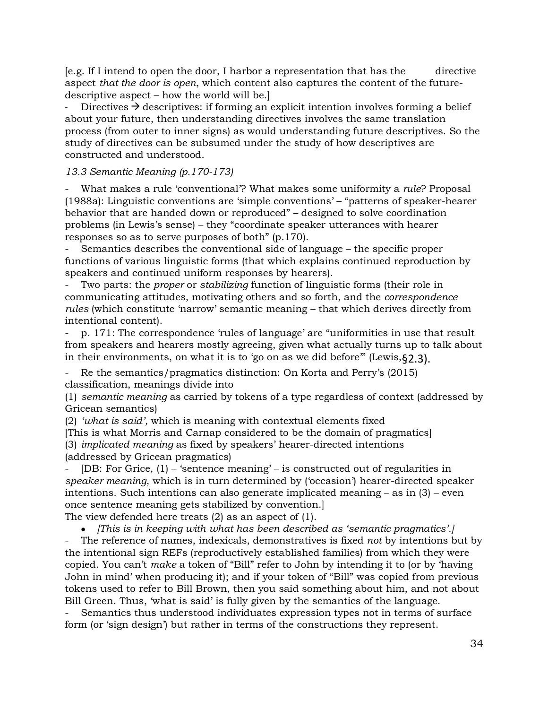[e.g. If I intend to open the door, I harbor a representation that has the directive aspect *that the door is open*, which content also captures the content of the futuredescriptive aspect – how the world will be.]

Directives  $\rightarrow$  descriptives: if forming an explicit intention involves forming a belief about your future, then understanding directives involves the same translation process (from outer to inner signs) as would understanding future descriptives. So the study of directives can be subsumed under the study of how descriptives are constructed and understood.

#### *13.3 Semantic Meaning (p.170-173)*

- What makes a rule 'conventional'? What makes some uniformity a *rule*? Proposal (1988a): Linguistic conventions are 'simple conventions' – "patterns of speaker-hearer behavior that are handed down or reproduced" – designed to solve coordination problems (in Lewis's sense) – they "coordinate speaker utterances with hearer responses so as to serve purposes of both" (p.170).

Semantics describes the conventional side of language – the specific proper functions of various linguistic forms (that which explains continued reproduction by speakers and continued uniform responses by hearers).

- Two parts: the *proper* or *stabilizing* function of linguistic forms (their role in communicating attitudes, motivating others and so forth, and the *correspondence rules* (which constitute 'narrow' semantic meaning – that which derives directly from intentional content).

- p. 171: The correspondence 'rules of language' are "uniformities in use that result from speakers and hearers mostly agreeing, given what actually turns up to talk about in their environments, on what it is to 'go on as we did before'" (Lewis,  $\S$ 2.3).

Re the semantics/pragmatics distinction: On Korta and Perry's (2015) classification, meanings divide into

(1) *semantic meaning* as carried by tokens of a type regardless of context (addressed by Gricean semantics)

(2) *'what is said',* which is meaning with contextual elements fixed [This is what Morris and Carnap considered to be the domain of pragmatics] (3) *implicated meaning* as fixed by speakers' hearer-directed intentions (addressed by Gricean pragmatics)

 $[DB: For Grice,  $(1)$  – 'sentence meaning' – is constructed out of regularities in$ *speaker meaning*, which is in turn determined by ('occasion') hearer-directed speaker intentions. Such intentions can also generate implicated meaning – as in (3) – even once sentence meaning gets stabilized by convention.]

The view defended here treats (2) as an aspect of (1).

• *[This is in keeping with what has been described as 'semantic pragmatics'.]* - The reference of names, indexicals, demonstratives is fixed *not* by intentions but by the intentional sign REFs (reproductively established families) from which they were copied. You can't *make* a token of "Bill" refer to John by intending it to (or by 'having John in mind' when producing it); and if your token of "Bill" was copied from previous tokens used to refer to Bill Brown, then you said something about him, and not about Bill Green. Thus, 'what is said' is fully given by the semantics of the language.

- Semantics thus understood individuates expression types not in terms of surface form (or 'sign design') but rather in terms of the constructions they represent.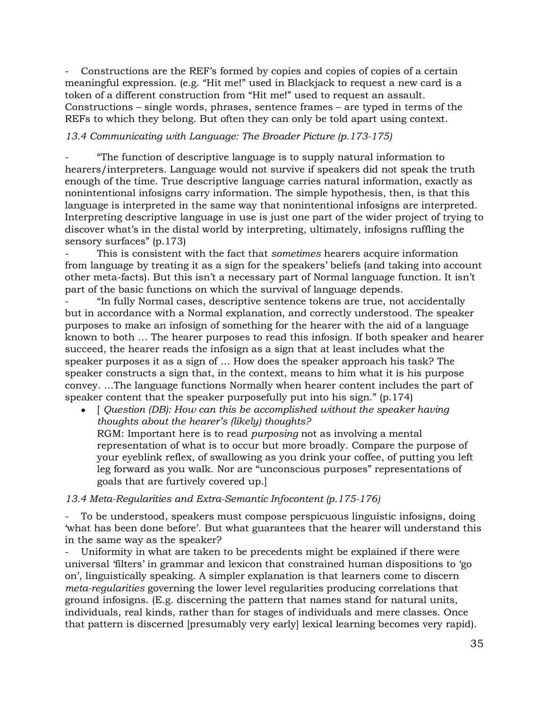Constructions are the REF's formed by copies and copies of copies of a certain meaningful expression. (e.g. "Hit me!" used in Blackjack to request a new card is a token of a different construction from "Hit me!" used to request an assault. Constructions – single words, phrases, sentence frames – are typed in terms of the REFs to which they belong. But often they can only be told apart using context.

#### *13.4 Communicating with Language: The Broader Picture (p.173-175)*

- "The function of descriptive language is to supply natural information to hearers/interpreters. Language would not survive if speakers did not speak the truth enough of the time. True descriptive language carries natural information, exactly as nonintentional infosigns carry information. The simple hypothesis, then, is that this language is interpreted in the same way that nonintentional infosigns are interpreted. Interpreting descriptive language in use is just one part of the wider project of trying to discover what's in the distal world by interpreting, ultimately, infosigns ruffling the sensory surfaces" (p.173)

- This is consistent with the fact that *sometimes* hearers acquire information from language by treating it as a sign for the speakers' beliefs (and taking into account other meta-facts). But this isn't a necessary part of Normal language function. It isn't part of the basic functions on which the survival of language depends.

- "In fully Normal cases, descriptive sentence tokens are true, not accidentally but in accordance with a Normal explanation, and correctly understood. The speaker purposes to make an infosign of something for the hearer with the aid of a language known to both … The hearer purposes to read this infosign. If both speaker and hearer succeed, the hearer reads the infosign as a sign that at least includes what the speaker purposes it as a sign of … How does the speaker approach his task? The speaker constructs a sign that, in the context, means to him what it is his purpose convey. …The language functions Normally when hearer content includes the part of speaker content that the speaker purposefully put into his sign." (p.174)

• [ *Question (DB): How can this be accomplished without the speaker having thoughts about the hearer's (likely) thoughts?* RGM: Important here is to read *purposing* not as involving a mental representation of what is to occur but more broadly. Compare the purpose of your eyeblink reflex, of swallowing as you drink your coffee, of putting you left leg forward as you walk. Nor are "unconscious purposes" representations of goals that are furtively covered up.]

#### *13.4 Meta-Regularities and Extra-Semantic Infocontent (p.175-176)*

To be understood, speakers must compose perspicuous linguistic infosigns, doing 'what has been done before'. But what guarantees that the hearer will understand this in the same way as the speaker?

Uniformity in what are taken to be precedents might be explained if there were universal 'filters' in grammar and lexicon that constrained human dispositions to 'go on', linguistically speaking. A simpler explanation is that learners come to discern *meta-regularities* governing the lower level regularities producing correlations that ground infosigns. (E.g. discerning the pattern that names stand for natural units, individuals, real kinds, rather than for stages of individuals and mere classes. Once that pattern is discerned [presumably very early] lexical learning becomes very rapid).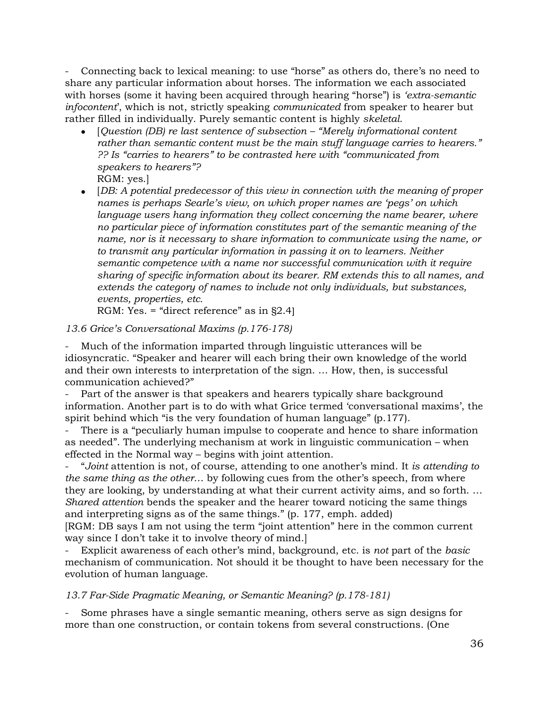- Connecting back to lexical meaning: to use "horse" as others do, there's no need to share any particular information about horses. The information we each associated with horses (some it having been acquired through hearing "horse") is *'extra-semantic infocontent*', which is not, strictly speaking *communicated* from speaker to hearer but rather filled in individually. Purely semantic content is highly *skeletal*.

- [*Question (DB) re last sentence of subsection – "Merely informational content rather than semantic content must be the main stuff language carries to hearers." ?? Is "carries to hearers" to be contrasted here with "communicated from speakers to hearers"?*
	- RGM: yes.]
- [*DB: A potential predecessor of this view in connection with the meaning of proper names is perhaps Searle's view, on which proper names are 'pegs' on which language users hang information they collect concerning the name bearer, where no particular piece of information constitutes part of the semantic meaning of the name, nor is it necessary to share information to communicate using the name, or to transmit any particular information in passing it on to learners. Neither semantic competence with a name nor successful communication with it require sharing of specific information about its bearer. RM extends this to all names, and extends the category of names to include not only individuals, but substances, events, properties, etc.*

RGM: Yes. = "direct reference" as in §2.4]

### *13.6 Grice's Conversational Maxims (p.176-178)*

- Much of the information imparted through linguistic utterances will be idiosyncratic. "Speaker and hearer will each bring their own knowledge of the world and their own interests to interpretation of the sign. … How, then, is successful communication achieved?"

Part of the answer is that speakers and hearers typically share background information. Another part is to do with what Grice termed 'conversational maxims', the spirit behind which "is the very foundation of human language" (p.177).

There is a "peculiarly human impulse to cooperate and hence to share information as needed". The underlying mechanism at work in linguistic communication – when effected in the Normal way – begins with joint attention.

- "*Joint* attention is not, of course, attending to one another's mind. It *is attending to the same thing as the other*… by following cues from the other's speech, from where they are looking, by understanding at what their current activity aims, and so forth. … *Shared attention* bends the speaker and the hearer toward noticing the same things and interpreting signs as of the same things." (p. 177, emph. added) [RGM: DB says I am not using the term "joint attention" here in the common current

way since I don't take it to involve theory of mind.]

- Explicit awareness of each other's mind, background, etc. is *not* part of the *basic* mechanism of communication. Not should it be thought to have been necessary for the evolution of human language.

*13.7 Far-Side Pragmatic Meaning, or Semantic Meaning? (p.178-181)*

- Some phrases have a single semantic meaning, others serve as sign designs for more than one construction, or contain tokens from several constructions. (One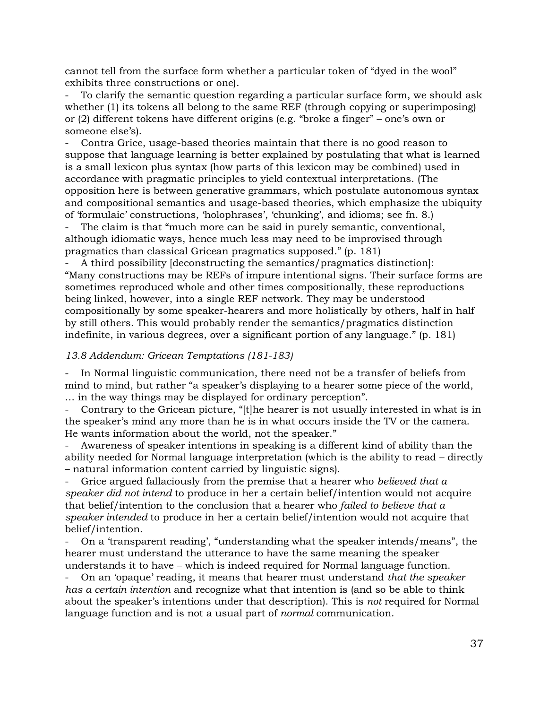cannot tell from the surface form whether a particular token of "dyed in the wool" exhibits three constructions or one).

To clarify the semantic question regarding a particular surface form, we should ask whether (1) its tokens all belong to the same REF (through copying or superimposing) or (2) different tokens have different origins (e.g. "broke a finger" – one's own or someone else's).

- Contra Grice, usage-based theories maintain that there is no good reason to suppose that language learning is better explained by postulating that what is learned is a small lexicon plus syntax (how parts of this lexicon may be combined) used in accordance with pragmatic principles to yield contextual interpretations. (The opposition here is between generative grammars, which postulate autonomous syntax and compositional semantics and usage-based theories, which emphasize the ubiquity of 'formulaic' constructions, 'holophrases', 'chunking', and idioms; see fn. 8.)

The claim is that "much more can be said in purely semantic, conventional, although idiomatic ways, hence much less may need to be improvised through pragmatics than classical Gricean pragmatics supposed." (p. 181)

- A third possibility [deconstructing the semantics/pragmatics distinction]: "Many constructions may be REFs of impure intentional signs. Their surface forms are sometimes reproduced whole and other times compositionally, these reproductions being linked, however, into a single REF network. They may be understood compositionally by some speaker-hearers and more holistically by others, half in half by still others. This would probably render the semantics/pragmatics distinction indefinite, in various degrees, over a significant portion of any language." (p. 181)

#### *13.8 Addendum: Gricean Temptations (181-183)*

In Normal linguistic communication, there need not be a transfer of beliefs from mind to mind, but rather "a speaker's displaying to a hearer some piece of the world, … in the way things may be displayed for ordinary perception".

Contrary to the Gricean picture, "[t]he hearer is not usually interested in what is in the speaker's mind any more than he is in what occurs inside the TV or the camera. He wants information about the world, not the speaker."

Awareness of speaker intentions in speaking is a different kind of ability than the ability needed for Normal language interpretation (which is the ability to read – directly – natural information content carried by linguistic signs).

- Grice argued fallaciously from the premise that a hearer who *believed that a speaker did not intend* to produce in her a certain belief/intention would not acquire that belief/intention to the conclusion that a hearer who *failed to believe that a speaker intended* to produce in her a certain belief/intention would not acquire that belief/intention.

- On a 'transparent reading', "understanding what the speaker intends/means", the hearer must understand the utterance to have the same meaning the speaker understands it to have – which is indeed required for Normal language function.

- On an 'opaque' reading, it means that hearer must understand *that the speaker has a certain intention* and recognize what that intention is (and so be able to think about the speaker's intentions under that description). This is *not* required for Normal language function and is not a usual part of *normal* communication.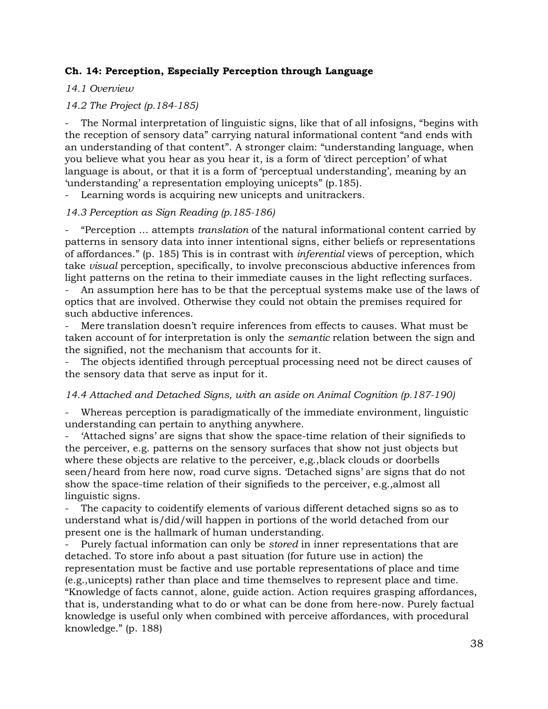### **Ch. 14: Perception, Especially Perception through Language**

### *14.1 Overview*

### *14.2 The Project (p.184-185)*

The Normal interpretation of linguistic signs, like that of all infosigns, "begins with the reception of sensory data" carrying natural informational content "and ends with an understanding of that content". A stronger claim: "understanding language, when you believe what you hear as you hear it, is a form of 'direct perception' of what language is about, or that it is a form of 'perceptual understanding', meaning by an 'understanding' a representation employing unicepts" (p.185).

Learning words is acquiring new unicepts and unitrackers.

### *14.3 Perception as Sign Reading (p.185-186)*

- "Perception … attempts *translation* of the natural informational content carried by patterns in sensory data into inner intentional signs, either beliefs or representations of affordances." (p. 185) This is in contrast with *inferential* views of perception, which take *visual* perception, specifically, to involve preconscious abductive inferences from light patterns on the retina to their immediate causes in the light reflecting surfaces.

- An assumption here has to be that the perceptual systems make use of the laws of optics that are involved. Otherwise they could not obtain the premises required for such abductive inferences.

Mere translation doesn't require inferences from effects to causes. What must be taken account of for interpretation is only the *semantic* relation between the sign and the signified, not the mechanism that accounts for it.

The objects identified through perceptual processing need not be direct causes of the sensory data that serve as input for it.

#### *14.4 Attached and Detached Signs, with an aside on Animal Cognition (p.187-190)*

Whereas perception is paradigmatically of the immediate environment, linguistic understanding can pertain to anything anywhere.

- 'Attached signs' are signs that show the space-time relation of their signifieds to the perceiver, e.g. patterns on the sensory surfaces that show not just objects but where these objects are relative to the perceiver, e,g.,black clouds or doorbells seen/heard from here now, road curve signs. 'Detached signs' are signs that do not show the space-time relation of their signifieds to the perceiver, e.g.,almost all linguistic signs.

The capacity to coidentify elements of various different detached signs so as to understand what is/did/will happen in portions of the world detached from our present one is the hallmark of human understanding.

- Purely factual information can only be *stored* in inner representations that are detached. To store info about a past situation (for future use in action) the representation must be factive and use portable representations of place and time (e.g.,unicepts) rather than place and time themselves to represent place and time. "Knowledge of facts cannot, alone, guide action. Action requires grasping affordances, that is, understanding what to do or what can be done from here-now. Purely factual knowledge is useful only when combined with perceive affordances, with procedural knowledge." (p. 188)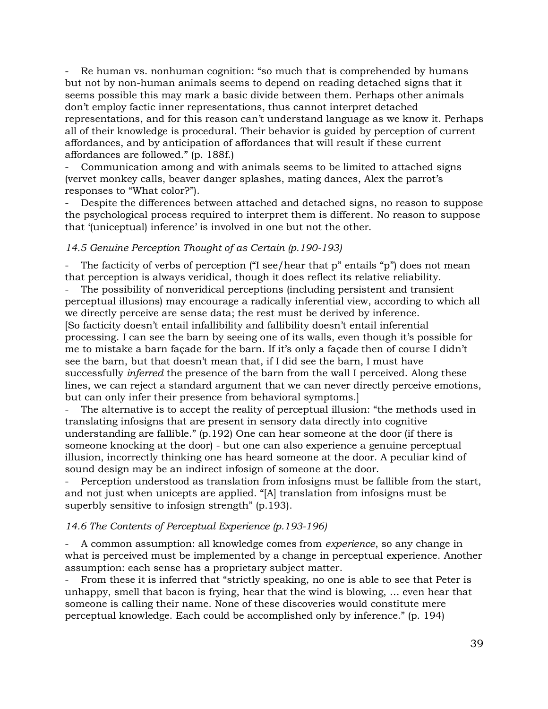Re human vs. nonhuman cognition: "so much that is comprehended by humans but not by non-human animals seems to depend on reading detached signs that it seems possible this may mark a basic divide between them. Perhaps other animals don't employ factic inner representations, thus cannot interpret detached representations, and for this reason can't understand language as we know it. Perhaps all of their knowledge is procedural. Their behavior is guided by perception of current affordances, and by anticipation of affordances that will result if these current affordances are followed." (p. 188f.)

Communication among and with animals seems to be limited to attached signs (vervet monkey calls, beaver danger splashes, mating dances, Alex the parrot's responses to "What color?").

Despite the differences between attached and detached signs, no reason to suppose the psychological process required to interpret them is different. No reason to suppose that '(uniceptual) inference' is involved in one but not the other.

#### *14.5 Genuine Perception Thought of as Certain (p.190-193)*

The facticity of verbs of perception ("I see/hear that  $p$ " entails "p") does not mean that perception is always veridical, though it does reflect its relative reliability.

The possibility of nonveridical perceptions (including persistent and transient perceptual illusions) may encourage a radically inferential view, according to which all we directly perceive are sense data; the rest must be derived by inference. [So facticity doesn't entail infallibility and fallibility doesn't entail inferential processing. I can see the barn by seeing one of its walls, even though it's possible for me to mistake a barn façade for the barn. If it's only a façade then of course I didn't see the barn, but that doesn't mean that, if I did see the barn, I must have successfully *inferred* the presence of the barn from the wall I perceived. Along these lines, we can reject a standard argument that we can never directly perceive emotions, but can only infer their presence from behavioral symptoms.]

The alternative is to accept the reality of perceptual illusion: "the methods used in translating infosigns that are present in sensory data directly into cognitive understanding are fallible." (p.192) One can hear someone at the door (if there is someone knocking at the door) - but one can also experience a genuine perceptual illusion, incorrectly thinking one has heard someone at the door. A peculiar kind of sound design may be an indirect infosign of someone at the door.

Perception understood as translation from infosigns must be fallible from the start, and not just when unicepts are applied. "[A] translation from infosigns must be superbly sensitive to infosign strength" (p.193).

#### *14.6 The Contents of Perceptual Experience (p.193-196)*

- A common assumption: all knowledge comes from *experience*, so any change in what is perceived must be implemented by a change in perceptual experience. Another assumption: each sense has a proprietary subject matter.

From these it is inferred that "strictly speaking, no one is able to see that Peter is unhappy, smell that bacon is frying, hear that the wind is blowing, … even hear that someone is calling their name. None of these discoveries would constitute mere perceptual knowledge. Each could be accomplished only by inference." (p. 194)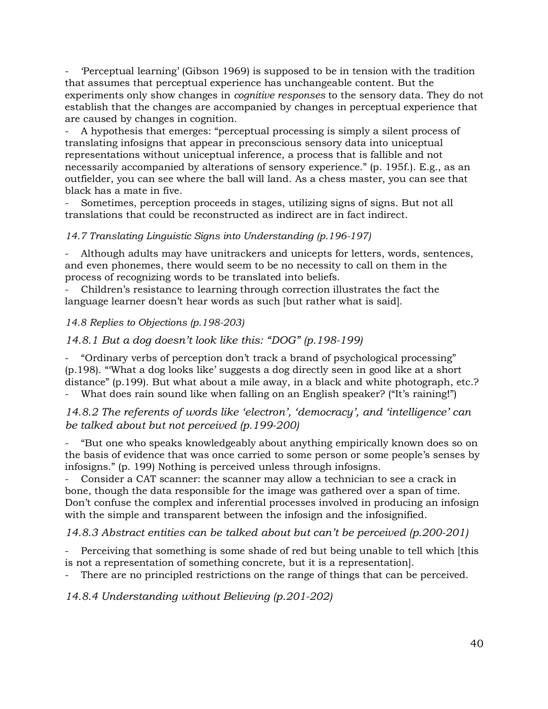- 'Perceptual learning' (Gibson 1969) is supposed to be in tension with the tradition that assumes that perceptual experience has unchangeable content. But the experiments only show changes in *cognitive responses* to the sensory data. They do not establish that the changes are accompanied by changes in perceptual experience that are caused by changes in cognition.

- A hypothesis that emerges: "perceptual processing is simply a silent process of translating infosigns that appear in preconscious sensory data into uniceptual representations without uniceptual inference, a process that is fallible and not necessarily accompanied by alterations of sensory experience." (p. 195f.). E.g., as an outfielder, you can see where the ball will land. As a chess master, you can see that black has a mate in five.

- Sometimes, perception proceeds in stages, utilizing signs of signs. But not all translations that could be reconstructed as indirect are in fact indirect.

### *14.7 Translating Linguistic Signs into Understanding (p.196-197)*

Although adults may have unitrackers and unicepts for letters, words, sentences, and even phonemes, there would seem to be no necessity to call on them in the process of recognizing words to be translated into beliefs.

- Children's resistance to learning through correction illustrates the fact the language learner doesn't hear words as such [but rather what is said].

### *14.8 Replies to Objections (p.198-203)*

### *14.8.1 But a dog doesn't look like this: "DOG" (p.198-199)*

- "Ordinary verbs of perception don't track a brand of psychological processing" (p.198). "'What a dog looks like' suggests a dog directly seen in good like at a short distance" (p.199). But what about a mile away, in a black and white photograph, etc.? What does rain sound like when falling on an English speaker? ("It's raining!")

*14.8.2 The referents of words like 'electron', 'democracy', and 'intelligence' can be talked about but not perceived (p.199-200)*

- "But one who speaks knowledgeably about anything empirically known does so on the basis of evidence that was once carried to some person or some people's senses by infosigns." (p. 199) Nothing is perceived unless through infosigns.

- Consider a CAT scanner: the scanner may allow a technician to see a crack in bone, though the data responsible for the image was gathered over a span of time. Don't confuse the complex and inferential processes involved in producing an infosign with the simple and transparent between the infosign and the infosignified.

### *14.8.3 Abstract entities can be talked about but can't be perceived (p.200-201)*

Perceiving that something is some shade of red but being unable to tell which [this is not a representation of something concrete, but it is a representation].

There are no principled restrictions on the range of things that can be perceived.

*14.8.4 Understanding without Believing (p.201-202)*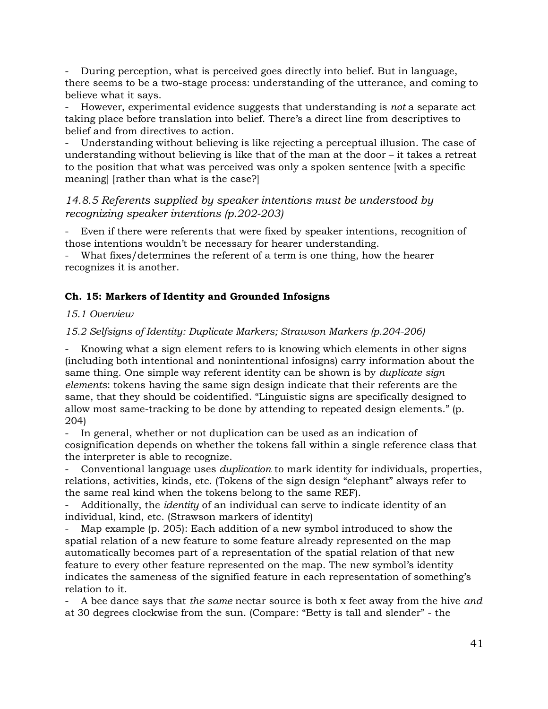- During perception, what is perceived goes directly into belief. But in language, there seems to be a two-stage process: understanding of the utterance, and coming to believe what it says.

- However, experimental evidence suggests that understanding is *not* a separate act taking place before translation into belief. There's a direct line from descriptives to belief and from directives to action.

Understanding without believing is like rejecting a perceptual illusion. The case of understanding without believing is like that of the man at the door – it takes a retreat to the position that what was perceived was only a spoken sentence [with a specific meaning] [rather than what is the case?]

# *14.8.5 Referents supplied by speaker intentions must be understood by recognizing speaker intentions (p.202-203)*

Even if there were referents that were fixed by speaker intentions, recognition of those intentions wouldn't be necessary for hearer understanding.

- What fixes/determines the referent of a term is one thing, how the hearer recognizes it is another.

### **Ch. 15: Markers of Identity and Grounded Infosigns**

### *15.1 Overview*

*15.2 Selfsigns of Identity: Duplicate Markers; Strawson Markers (p.204-206)*

Knowing what a sign element refers to is knowing which elements in other signs (including both intentional and nonintentional infosigns) carry information about the same thing. One simple way referent identity can be shown is by *duplicate sign elements*: tokens having the same sign design indicate that their referents are the same, that they should be coidentified. "Linguistic signs are specifically designed to allow most same-tracking to be done by attending to repeated design elements." (p. 204)

In general, whether or not duplication can be used as an indication of cosignification depends on whether the tokens fall within a single reference class that the interpreter is able to recognize.

- Conventional language uses *duplication* to mark identity for individuals, properties, relations, activities, kinds, etc. (Tokens of the sign design "elephant" always refer to the same real kind when the tokens belong to the same REF).

- Additionally, the *identity* of an individual can serve to indicate identity of an individual, kind, etc. (Strawson markers of identity)

Map example (p. 205): Each addition of a new symbol introduced to show the spatial relation of a new feature to some feature already represented on the map automatically becomes part of a representation of the spatial relation of that new feature to every other feature represented on the map. The new symbol's identity indicates the sameness of the signified feature in each representation of something's relation to it.

- A bee dance says that *the same* nectar source is both x feet away from the hive *and*  at 30 degrees clockwise from the sun. (Compare: "Betty is tall and slender" - the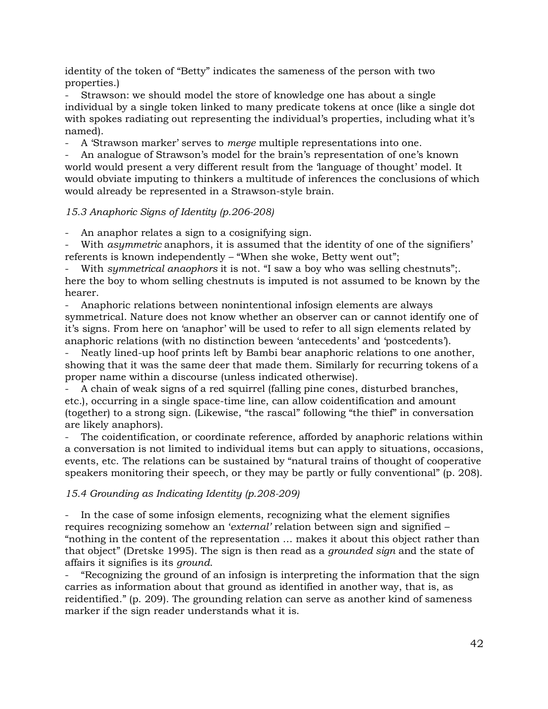identity of the token of "Betty" indicates the sameness of the person with two properties.)

Strawson: we should model the store of knowledge one has about a single individual by a single token linked to many predicate tokens at once (like a single dot with spokes radiating out representing the individual's properties, including what it's named).

- A 'Strawson marker' serves to *merge* multiple representations into one.

- An analogue of Strawson's model for the brain's representation of one's known world would present a very different result from the 'language of thought' model. It would obviate imputing to thinkers a multitude of inferences the conclusions of which would already be represented in a Strawson-style brain.

### *15.3 Anaphoric Signs of Identity (p.206-208)*

An anaphor relates a sign to a cosignifying sign.

With *asymmetric* anaphors, it is assumed that the identity of one of the signifiers' referents is known independently – "When she woke, Betty went out";

- With *symmetrical anaophors* it is not. "I saw a boy who was selling chestnuts";. here the boy to whom selling chestnuts is imputed is not assumed to be known by the hearer.

- Anaphoric relations between nonintentional infosign elements are always symmetrical. Nature does not know whether an observer can or cannot identify one of it's signs. From here on 'anaphor' will be used to refer to all sign elements related by anaphoric relations (with no distinction beween 'antecedents' and 'postcedents').

Neatly lined-up hoof prints left by Bambi bear anaphoric relations to one another, showing that it was the same deer that made them. Similarly for recurring tokens of a proper name within a discourse (unless indicated otherwise).

- A chain of weak signs of a red squirrel (falling pine cones, disturbed branches, etc.), occurring in a single space-time line, can allow coidentification and amount (together) to a strong sign. (Likewise, "the rascal" following "the thief" in conversation are likely anaphors).

- The coidentification, or coordinate reference, afforded by anaphoric relations within a conversation is not limited to individual items but can apply to situations, occasions, events, etc. The relations can be sustained by "natural trains of thought of cooperative speakers monitoring their speech, or they may be partly or fully conventional" (p. 208).

### *15.4 Grounding as Indicating Identity (p.208-209)*

In the case of some infosign elements, recognizing what the element signifies requires recognizing somehow an '*external'* relation between sign and signified – "nothing in the content of the representation … makes it about this object rather than that object" (Dretske 1995). The sign is then read as a *grounded sign* and the state of affairs it signifies is its *ground*.

- "Recognizing the ground of an infosign is interpreting the information that the sign carries as information about that ground as identified in another way, that is, as reidentified." (p. 209). The grounding relation can serve as another kind of sameness marker if the sign reader understands what it is.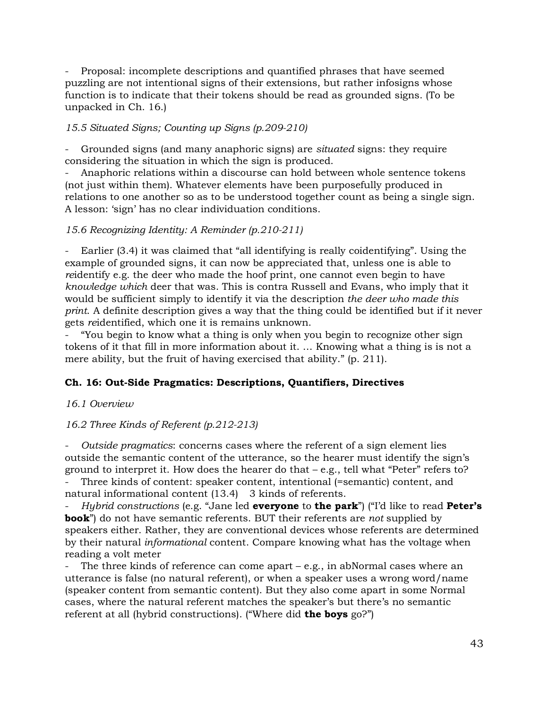- Proposal: incomplete descriptions and quantified phrases that have seemed puzzling are not intentional signs of their extensions, but rather infosigns whose function is to indicate that their tokens should be read as grounded signs. (To be unpacked in Ch. 16.)

### *15.5 Situated Signs; Counting up Signs (p.209-210)*

- Grounded signs (and many anaphoric signs) are *situated* signs: they require considering the situation in which the sign is produced.

- Anaphoric relations within a discourse can hold between whole sentence tokens (not just within them). Whatever elements have been purposefully produced in relations to one another so as to be understood together count as being a single sign. A lesson: 'sign' has no clear individuation conditions.

#### *15.6 Recognizing Identity: A Reminder (p.210-211)*

Earlier (3.4) it was claimed that "all identifying is really coidentifying". Using the example of grounded signs, it can now be appreciated that, unless one is able to *re*identify e.g. the deer who made the hoof print, one cannot even begin to have *knowledge which* deer that was. This is contra Russell and Evans, who imply that it would be sufficient simply to identify it via the description *the deer who made this print*. A definite description gives a way that the thing could be identified but if it never gets *re*identified, which one it is remains unknown.

- "You begin to know what a thing is only when you begin to recognize other sign tokens of it that fill in more information about it. … Knowing what a thing is is not a mere ability, but the fruit of having exercised that ability." (p. 211).

### **Ch. 16: Out-Side Pragmatics: Descriptions, Quantifiers, Directives**

#### *16.1 Overview*

#### *16.2 Three Kinds of Referent (p.212-213)*

- *Outside pragmatics*: concerns cases where the referent of a sign element lies outside the semantic content of the utterance, so the hearer must identify the sign's ground to interpret it. How does the hearer do that – e.g., tell what "Peter" refers to?

- Three kinds of content: speaker content, intentional (=semantic) content, and natural informational content (13.4) 3 kinds of referents.

- *Hybrid constructions* (e.g. "Jane led **everyone** to **the park**") ("I'd like to read **Peter's book**") do not have semantic referents. BUT their referents are *not* supplied by speakers either. Rather, they are conventional devices whose referents are determined by their natural *informational* content. Compare knowing what has the voltage when reading a volt meter

The three kinds of reference can come apart  $-$  e.g., in abNormal cases where an utterance is false (no natural referent), or when a speaker uses a wrong word/name (speaker content from semantic content). But they also come apart in some Normal cases, where the natural referent matches the speaker's but there's no semantic referent at all (hybrid constructions). ("Where did **the boys** go?")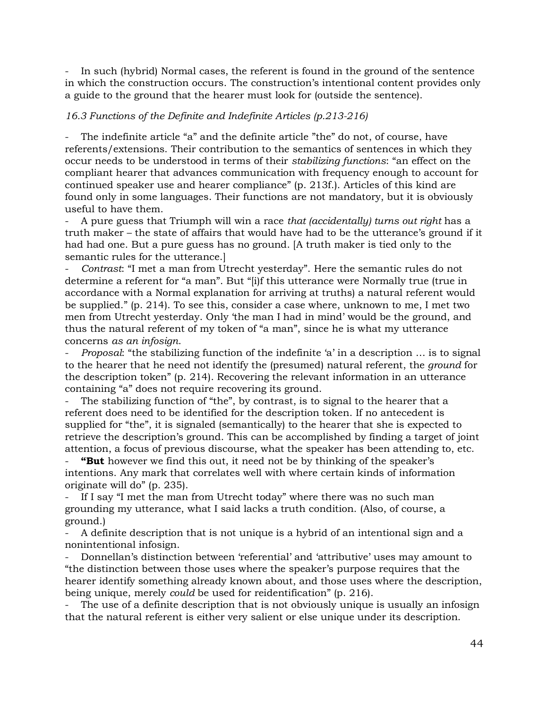In such (hybrid) Normal cases, the referent is found in the ground of the sentence in which the construction occurs. The construction's intentional content provides only a guide to the ground that the hearer must look for (outside the sentence).

#### *16.3 Functions of the Definite and Indefinite Articles (p.213-216)*

The indefinite article "a" and the definite article "the" do not, of course, have referents/extensions. Their contribution to the semantics of sentences in which they occur needs to be understood in terms of their *stabilizing functions*: "an effect on the compliant hearer that advances communication with frequency enough to account for continued speaker use and hearer compliance" (p. 213f.). Articles of this kind are found only in some languages. Their functions are not mandatory, but it is obviously useful to have them.

- A pure guess that Triumph will win a race *that (accidentally) turns out right* has a truth maker – the state of affairs that would have had to be the utterance's ground if it had had one. But a pure guess has no ground. [A truth maker is tied only to the semantic rules for the utterance.]

- *Contrast*: "I met a man from Utrecht yesterday". Here the semantic rules do not determine a referent for "a man". But "[i)f this utterance were Normally true (true in accordance with a Normal explanation for arriving at truths) a natural referent would be supplied." (p. 214). To see this, consider a case where, unknown to me, I met two men from Utrecht yesterday. Only 'the man I had in mind' would be the ground, and thus the natural referent of my token of "a man", since he is what my utterance concerns *as an infosign*.

- *Proposal*: "the stabilizing function of the indefinite 'a' in a description … is to signal to the hearer that he need not identify the (presumed) natural referent, the *ground* for the description token" (p. 214). Recovering the relevant information in an utterance containing "a" does not require recovering its ground.

The stabilizing function of "the", by contrast, is to signal to the hearer that a referent does need to be identified for the description token. If no antecedent is supplied for "the", it is signaled (semantically) to the hearer that she is expected to retrieve the description's ground. This can be accomplished by finding a target of joint attention, a focus of previous discourse, what the speaker has been attending to, etc.

**"But** however we find this out, it need not be by thinking of the speaker's intentions. Any mark that correlates well with where certain kinds of information originate will do" (p. 235).

If I say "I met the man from Utrecht today" where there was no such man grounding my utterance, what I said lacks a truth condition. (Also, of course, a ground.)

- A definite description that is not unique is a hybrid of an intentional sign and a nonintentional infosign.

- Donnellan's distinction between 'referential' and 'attributive' uses may amount to "the distinction between those uses where the speaker's purpose requires that the hearer identify something already known about, and those uses where the description, being unique, merely *could* be used for reidentification" (p. 216).

The use of a definite description that is not obviously unique is usually an infosign that the natural referent is either very salient or else unique under its description.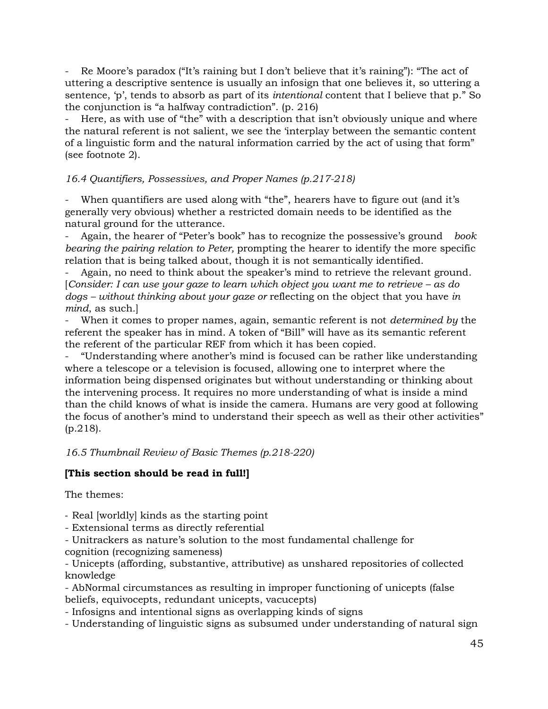Re Moore's paradox ("It's raining but I don't believe that it's raining"): "The act of uttering a descriptive sentence is usually an infosign that one believes it, so uttering a sentence, 'p', tends to absorb as part of its *intentional* content that I believe that p." So the conjunction is "a halfway contradiction". (p. 216)

Here, as with use of "the" with a description that isn't obviously unique and where the natural referent is not salient, we see the 'interplay between the semantic content of a linguistic form and the natural information carried by the act of using that form" (see footnote 2).

### *16.4 Quantifiers, Possessives, and Proper Names (p.217-218)*

When quantifiers are used along with "the", hearers have to figure out (and it's generally very obvious) whether a restricted domain needs to be identified as the natural ground for the utterance.

- Again, the hearer of "Peter's book" has to recognize the possessive's ground *book bearing the pairing relation to Peter,* prompting the hearer to identify the more specific relation that is being talked about, though it is not semantically identified.

Again, no need to think about the speaker's mind to retrieve the relevant ground. [*Consider: I can use your gaze to learn which object you want me to retrieve – as do dogs – without thinking about your gaze or* reflecting on the object that you have *in mind*, as such*.*]

- When it comes to proper names, again, semantic referent is not *determined by* the referent the speaker has in mind. A token of "Bill" will have as its semantic referent the referent of the particular REF from which it has been copied.

- "Understanding where another's mind is focused can be rather like understanding where a telescope or a television is focused, allowing one to interpret where the information being dispensed originates but without understanding or thinking about the intervening process. It requires no more understanding of what is inside a mind than the child knows of what is inside the camera. Humans are very good at following the focus of another's mind to understand their speech as well as their other activities" (p.218).

*16.5 Thumbnail Review of Basic Themes (p.218-220)*

# **[This section should be read in full!]**

The themes:

*-* Real [worldly] kinds as the starting point

- Extensional terms as directly referential

- Unitrackers as nature's solution to the most fundamental challenge for cognition (recognizing sameness)

- Unicepts (affording, substantive, attributive) as unshared repositories of collected knowledge

- AbNormal circumstances as resulting in improper functioning of unicepts (false beliefs, equivocepts, redundant unicepts, vacucepts)

- Infosigns and intentional signs as overlapping kinds of signs

- Understanding of linguistic signs as subsumed under understanding of natural sign